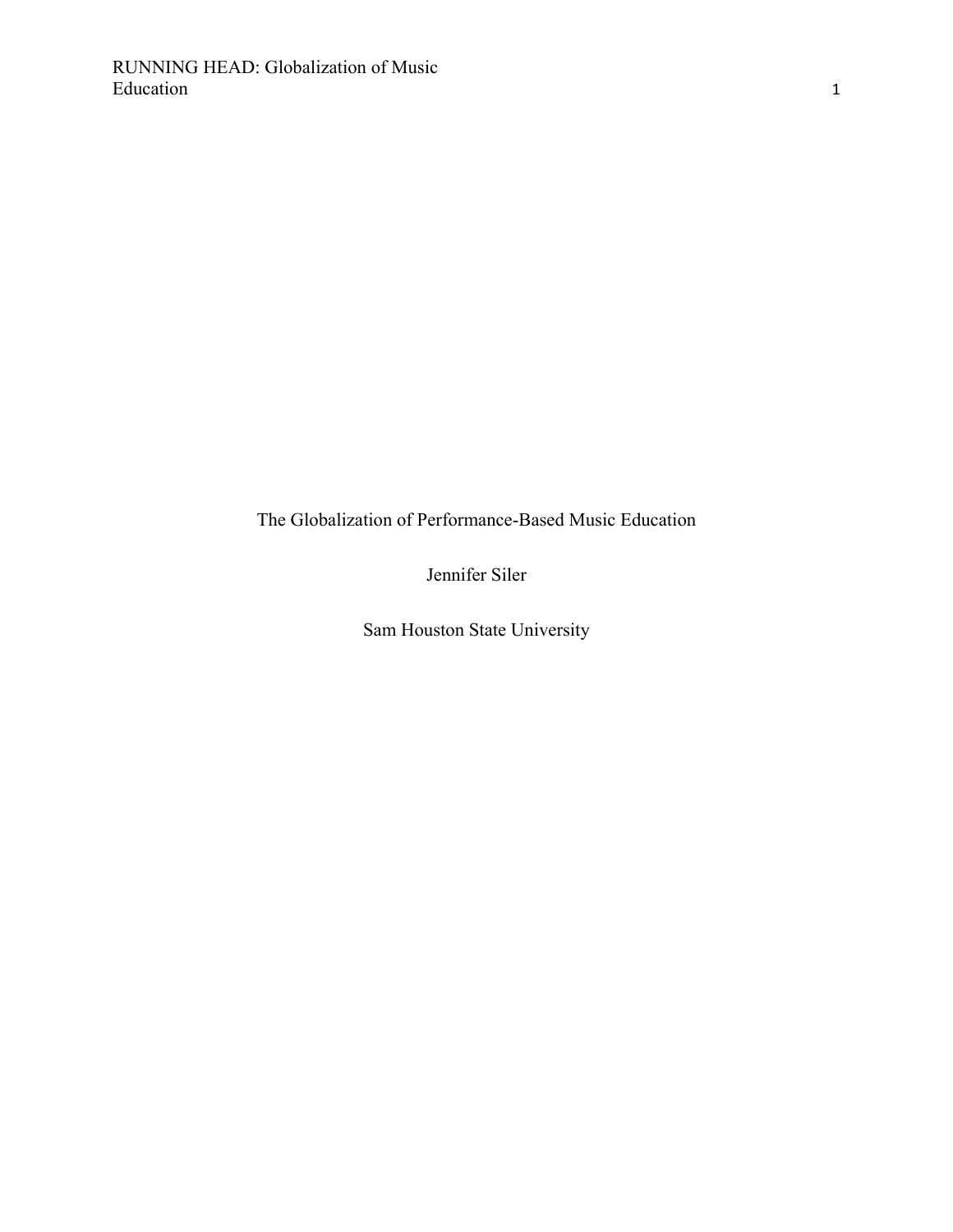The Globalization of Performance-Based Music Education

Jennifer Siler

Sam Houston State University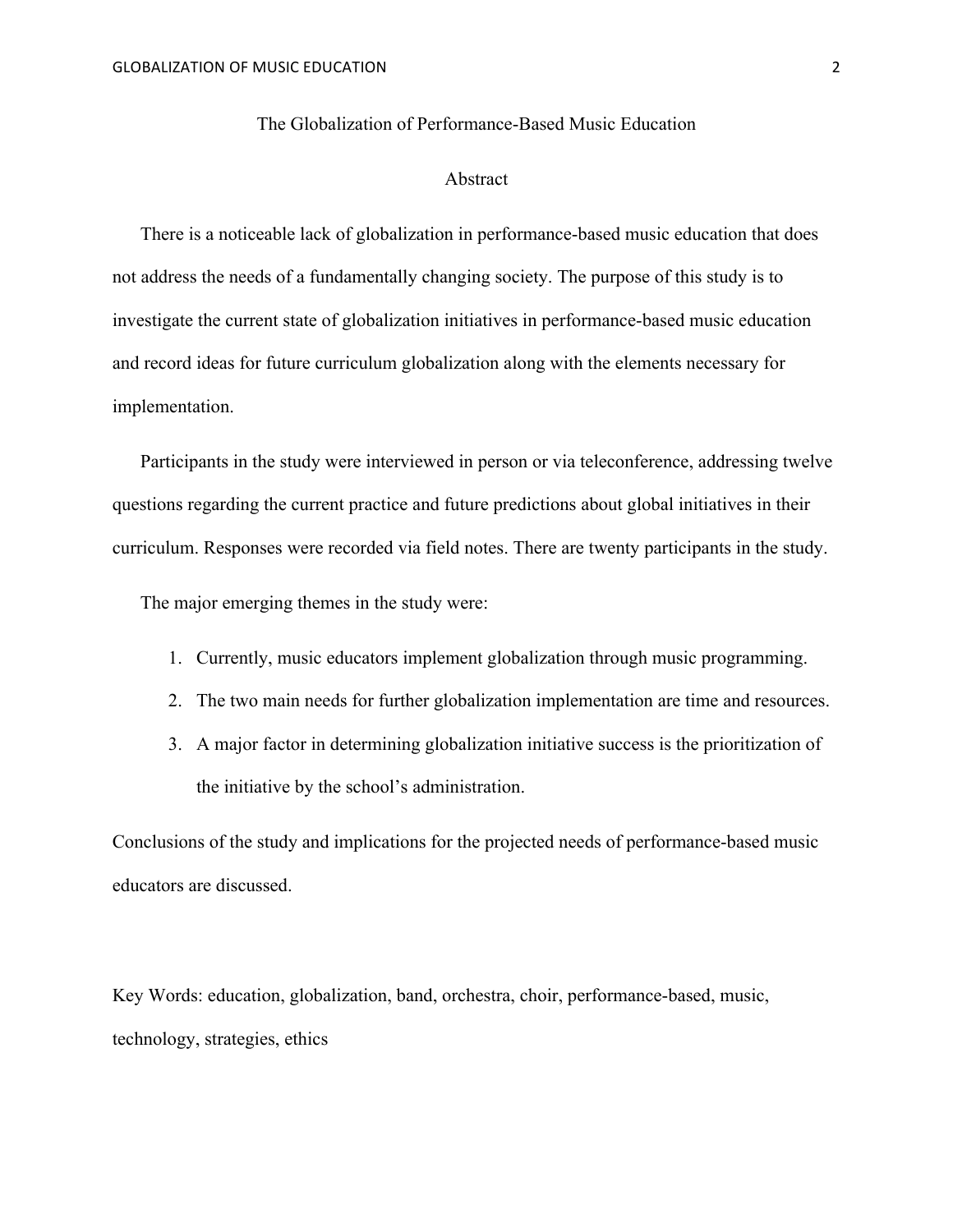## The Globalization of Performance-Based Music Education

## Abstract

There is a noticeable lack of globalization in performance-based music education that does not address the needs of a fundamentally changing society. The purpose of this study is to investigate the current state of globalization initiatives in performance-based music education and record ideas for future curriculum globalization along with the elements necessary for implementation.

Participants in the study were interviewed in person or via teleconference, addressing twelve questions regarding the current practice and future predictions about global initiatives in their curriculum. Responses were recorded via field notes. There are twenty participants in the study.

The major emerging themes in the study were:

- 1. Currently, music educators implement globalization through music programming.
- 2. The two main needs for further globalization implementation are time and resources.
- 3. A major factor in determining globalization initiative success is the prioritization of the initiative by the school's administration.

Conclusions of the study and implications for the projected needs of performance-based music educators are discussed.

Key Words: education, globalization, band, orchestra, choir, performance-based, music, technology, strategies, ethics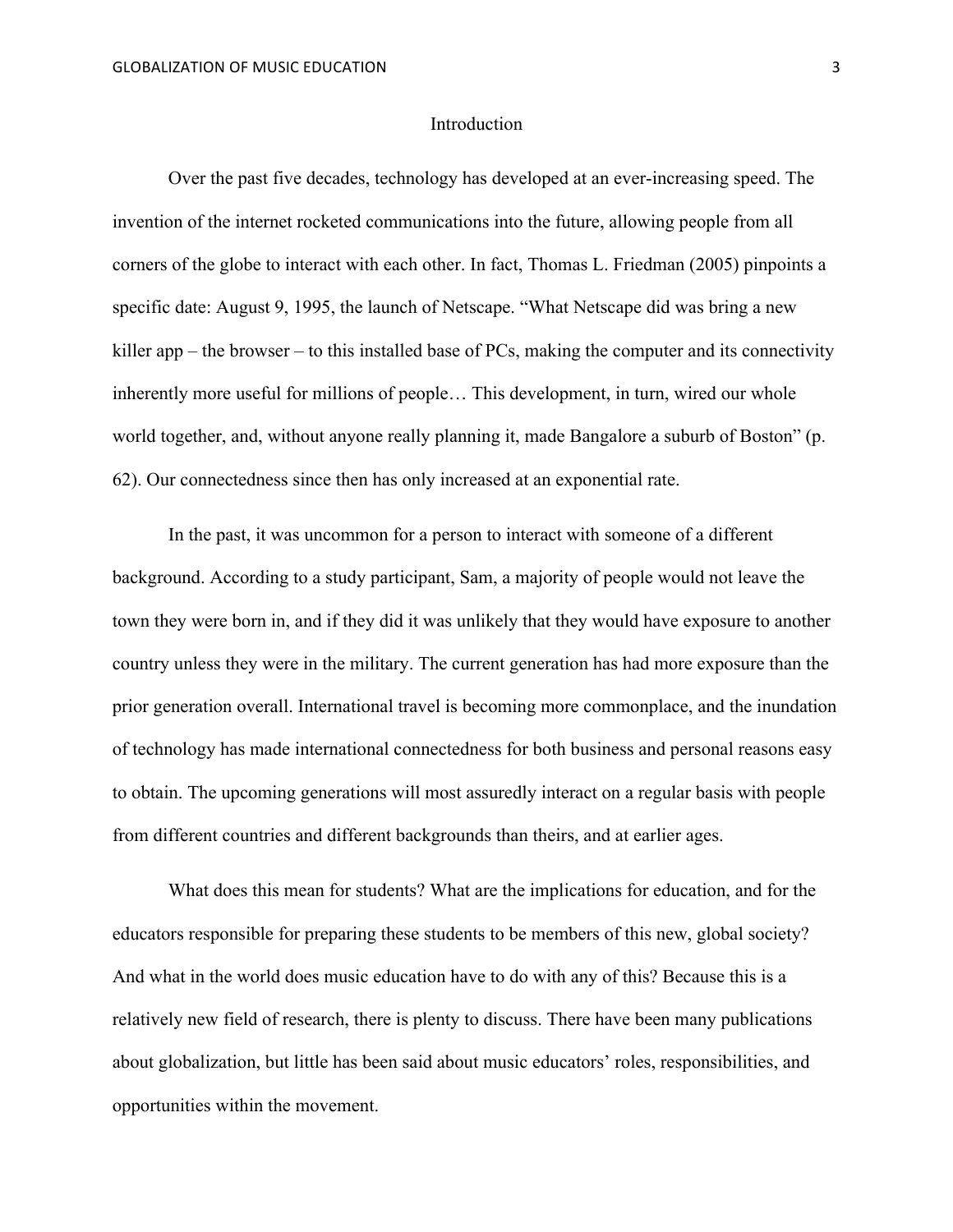### **Introduction**

Over the past five decades, technology has developed at an ever-increasing speed. The invention of the internet rocketed communications into the future, allowing people from all corners of the globe to interact with each other. In fact, Thomas L. Friedman (2005) pinpoints a specific date: August 9, 1995, the launch of Netscape. "What Netscape did was bring a new killer app – the browser – to this installed base of PCs, making the computer and its connectivity inherently more useful for millions of people… This development, in turn, wired our whole world together, and, without anyone really planning it, made Bangalore a suburb of Boston" (p. 62). Our connectedness since then has only increased at an exponential rate.

In the past, it was uncommon for a person to interact with someone of a different background. According to a study participant, Sam, a majority of people would not leave the town they were born in, and if they did it was unlikely that they would have exposure to another country unless they were in the military. The current generation has had more exposure than the prior generation overall. International travel is becoming more commonplace, and the inundation of technology has made international connectedness for both business and personal reasons easy to obtain. The upcoming generations will most assuredly interact on a regular basis with people from different countries and different backgrounds than theirs, and at earlier ages.

What does this mean for students? What are the implications for education, and for the educators responsible for preparing these students to be members of this new, global society? And what in the world does music education have to do with any of this? Because this is a relatively new field of research, there is plenty to discuss. There have been many publications about globalization, but little has been said about music educators' roles, responsibilities, and opportunities within the movement.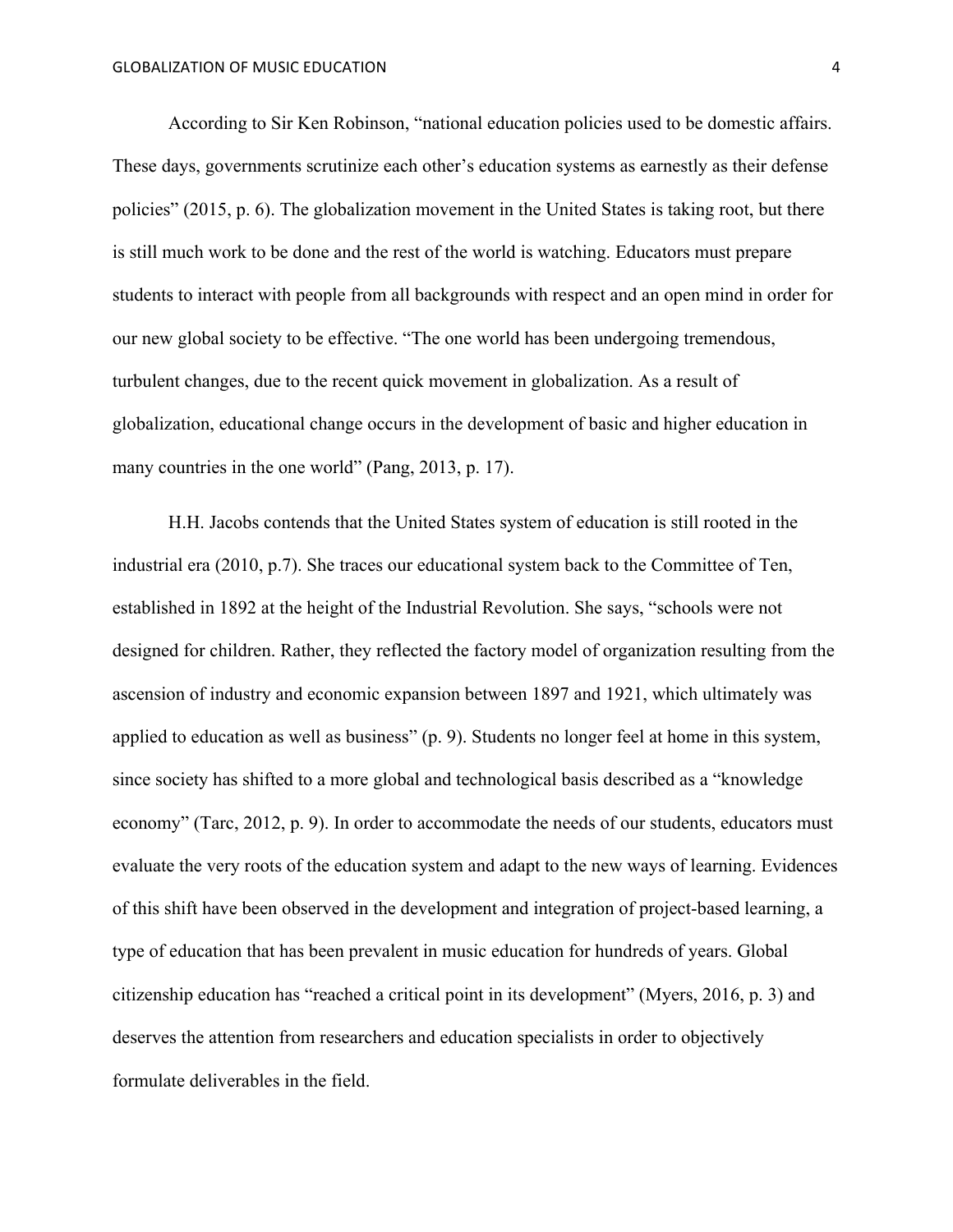According to Sir Ken Robinson, "national education policies used to be domestic affairs. These days, governments scrutinize each other's education systems as earnestly as their defense policies" (2015, p. 6). The globalization movement in the United States is taking root, but there is still much work to be done and the rest of the world is watching. Educators must prepare students to interact with people from all backgrounds with respect and an open mind in order for our new global society to be effective. "The one world has been undergoing tremendous, turbulent changes, due to the recent quick movement in globalization. As a result of globalization, educational change occurs in the development of basic and higher education in many countries in the one world" (Pang, 2013, p. 17).

H.H. Jacobs contends that the United States system of education is still rooted in the industrial era (2010, p.7). She traces our educational system back to the Committee of Ten, established in 1892 at the height of the Industrial Revolution. She says, "schools were not designed for children. Rather, they reflected the factory model of organization resulting from the ascension of industry and economic expansion between 1897 and 1921, which ultimately was applied to education as well as business" (p. 9). Students no longer feel at home in this system, since society has shifted to a more global and technological basis described as a "knowledge economy" (Tarc, 2012, p. 9). In order to accommodate the needs of our students, educators must evaluate the very roots of the education system and adapt to the new ways of learning. Evidences of this shift have been observed in the development and integration of project-based learning, a type of education that has been prevalent in music education for hundreds of years. Global citizenship education has "reached a critical point in its development" (Myers, 2016, p. 3) and deserves the attention from researchers and education specialists in order to objectively formulate deliverables in the field.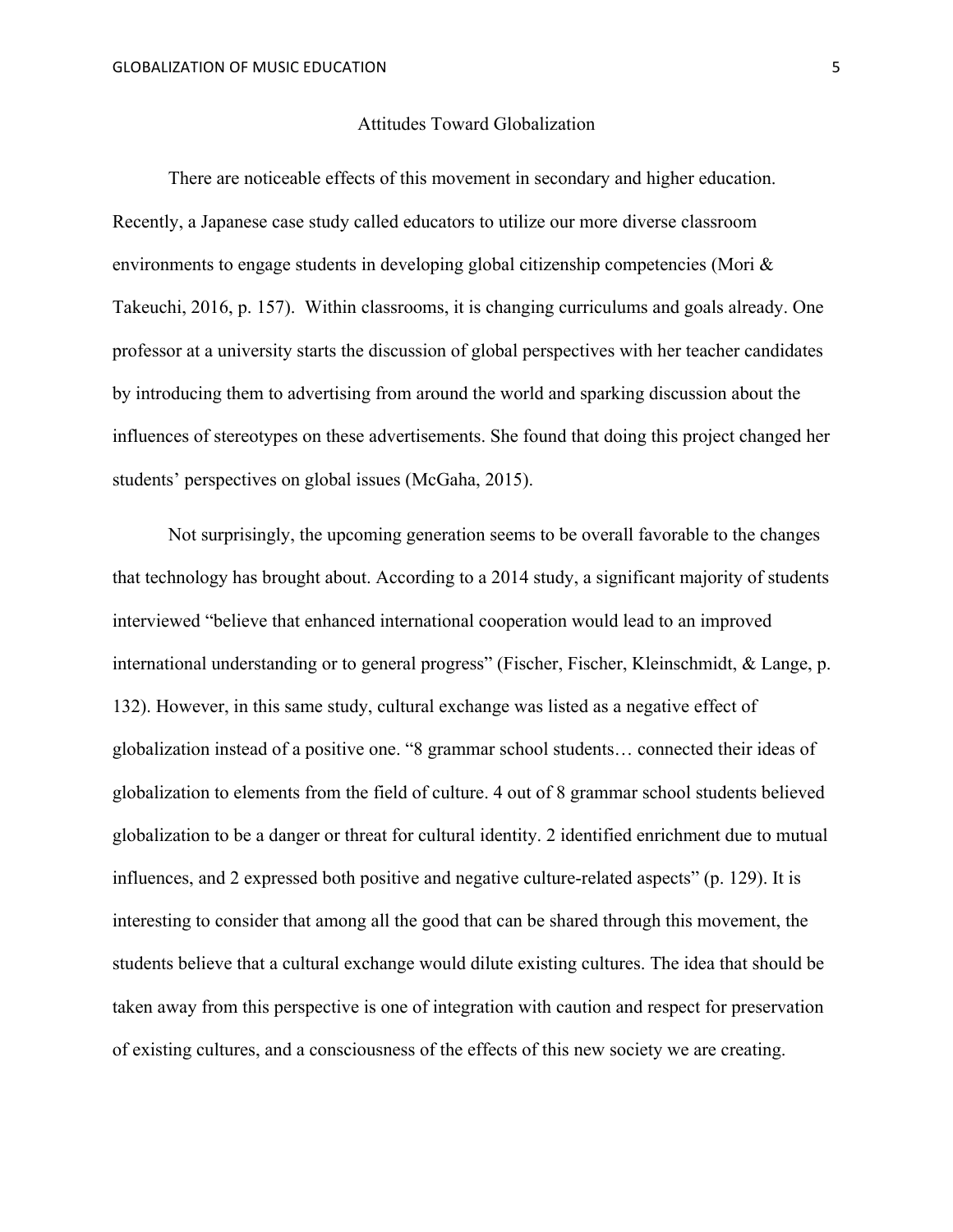### Attitudes Toward Globalization

There are noticeable effects of this movement in secondary and higher education. Recently, a Japanese case study called educators to utilize our more diverse classroom environments to engage students in developing global citizenship competencies (Mori & Takeuchi, 2016, p. 157). Within classrooms, it is changing curriculums and goals already. One professor at a university starts the discussion of global perspectives with her teacher candidates by introducing them to advertising from around the world and sparking discussion about the influences of stereotypes on these advertisements. She found that doing this project changed her students' perspectives on global issues (McGaha, 2015).

Not surprisingly, the upcoming generation seems to be overall favorable to the changes that technology has brought about. According to a 2014 study, a significant majority of students interviewed "believe that enhanced international cooperation would lead to an improved international understanding or to general progress" (Fischer, Fischer, Kleinschmidt, & Lange, p. 132). However, in this same study, cultural exchange was listed as a negative effect of globalization instead of a positive one. "8 grammar school students… connected their ideas of globalization to elements from the field of culture. 4 out of 8 grammar school students believed globalization to be a danger or threat for cultural identity. 2 identified enrichment due to mutual influences, and 2 expressed both positive and negative culture-related aspects" (p. 129). It is interesting to consider that among all the good that can be shared through this movement, the students believe that a cultural exchange would dilute existing cultures. The idea that should be taken away from this perspective is one of integration with caution and respect for preservation of existing cultures, and a consciousness of the effects of this new society we are creating.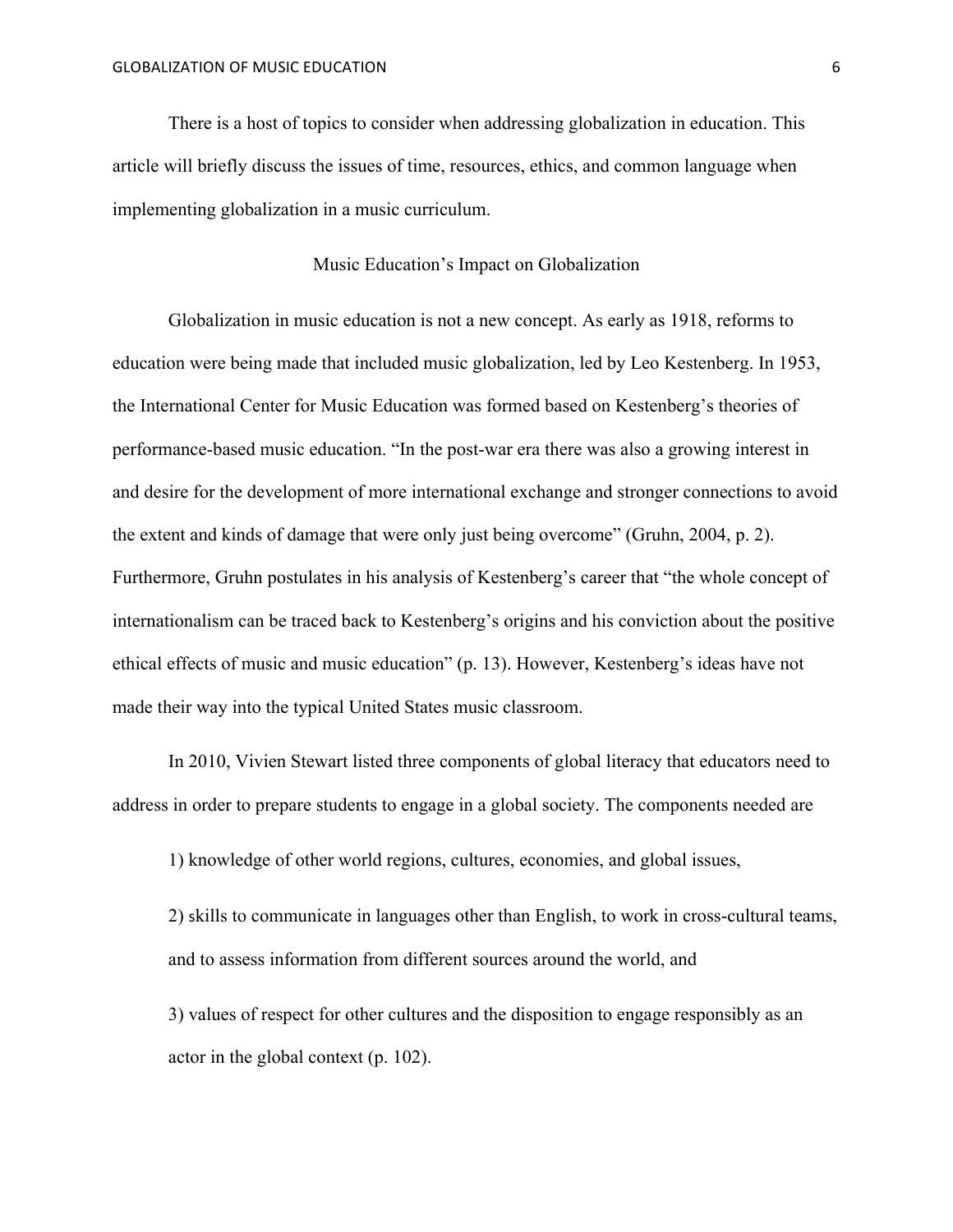There is a host of topics to consider when addressing globalization in education. This article will briefly discuss the issues of time, resources, ethics, and common language when implementing globalization in a music curriculum.

## Music Education's Impact on Globalization

Globalization in music education is not a new concept. As early as 1918, reforms to education were being made that included music globalization, led by Leo Kestenberg. In 1953, the International Center for Music Education was formed based on Kestenberg's theories of performance-based music education. "In the post-war era there was also a growing interest in and desire for the development of more international exchange and stronger connections to avoid the extent and kinds of damage that were only just being overcome" (Gruhn, 2004, p. 2). Furthermore, Gruhn postulates in his analysis of Kestenberg's career that "the whole concept of internationalism can be traced back to Kestenberg's origins and his conviction about the positive ethical effects of music and music education" (p. 13). However, Kestenberg's ideas have not made their way into the typical United States music classroom.

In 2010, Vivien Stewart listed three components of global literacy that educators need to address in order to prepare students to engage in a global society. The components needed are

1) knowledge of other world regions, cultures, economies, and global issues,

2) skills to communicate in languages other than English, to work in cross-cultural teams, and to assess information from different sources around the world, and

3) values of respect for other cultures and the disposition to engage responsibly as an actor in the global context (p. 102).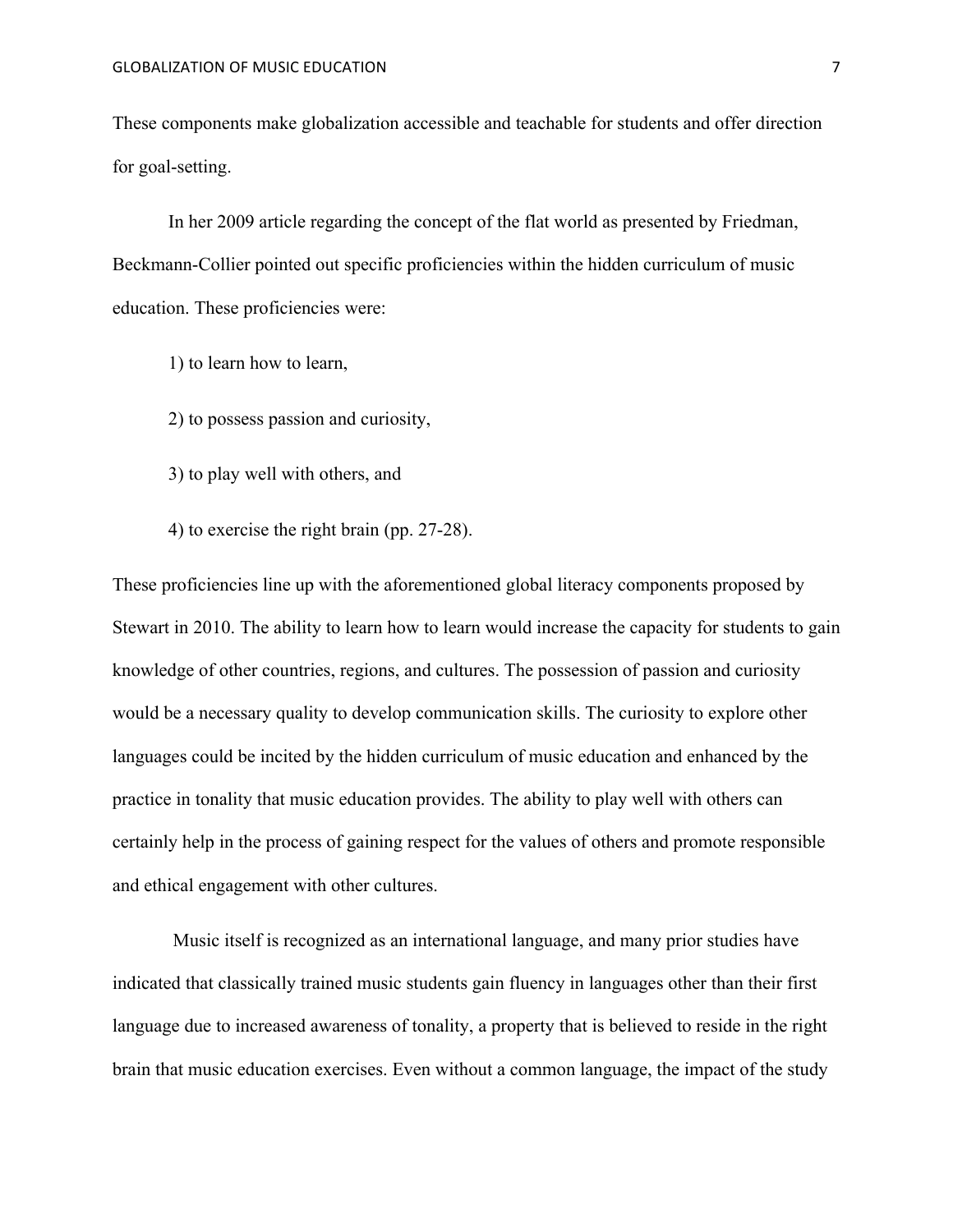These components make globalization accessible and teachable for students and offer direction for goal-setting.

In her 2009 article regarding the concept of the flat world as presented by Friedman, Beckmann-Collier pointed out specific proficiencies within the hidden curriculum of music education. These proficiencies were:

- 1) to learn how to learn,
- 2) to possess passion and curiosity,
- 3) to play well with others, and
- 4) to exercise the right brain (pp. 27-28).

These proficiencies line up with the aforementioned global literacy components proposed by Stewart in 2010. The ability to learn how to learn would increase the capacity for students to gain knowledge of other countries, regions, and cultures. The possession of passion and curiosity would be a necessary quality to develop communication skills. The curiosity to explore other languages could be incited by the hidden curriculum of music education and enhanced by the practice in tonality that music education provides. The ability to play well with others can certainly help in the process of gaining respect for the values of others and promote responsible and ethical engagement with other cultures.

Music itself is recognized as an international language, and many prior studies have indicated that classically trained music students gain fluency in languages other than their first language due to increased awareness of tonality, a property that is believed to reside in the right brain that music education exercises. Even without a common language, the impact of the study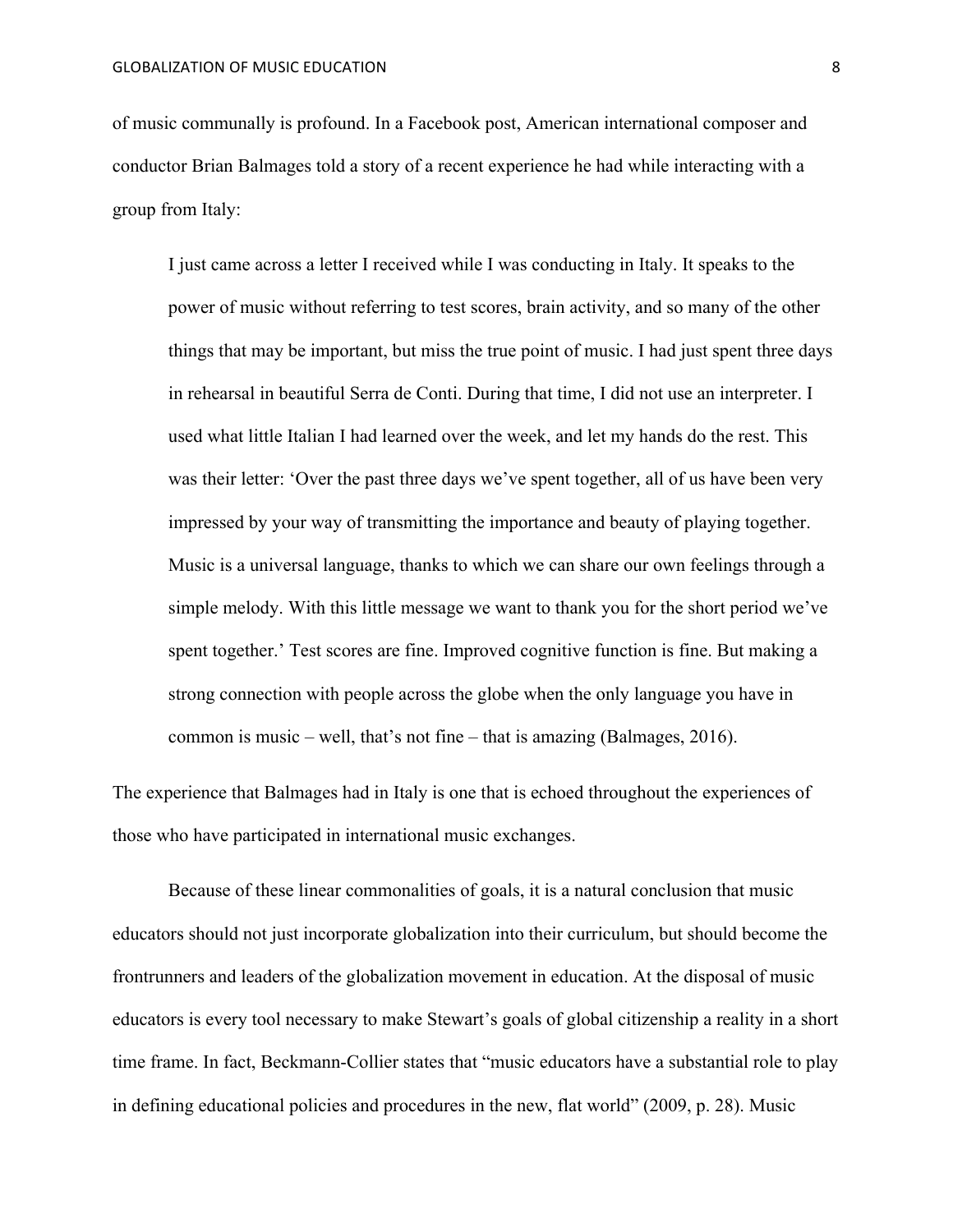of music communally is profound. In a Facebook post, American international composer and conductor Brian Balmages told a story of a recent experience he had while interacting with a group from Italy:

I just came across a letter I received while I was conducting in Italy. It speaks to the power of music without referring to test scores, brain activity, and so many of the other things that may be important, but miss the true point of music. I had just spent three days in rehearsal in beautiful Serra de Conti. During that time, I did not use an interpreter. I used what little Italian I had learned over the week, and let my hands do the rest. This was their letter: 'Over the past three days we've spent together, all of us have been very impressed by your way of transmitting the importance and beauty of playing together. Music is a universal language, thanks to which we can share our own feelings through a simple melody. With this little message we want to thank you for the short period we've spent together.' Test scores are fine. Improved cognitive function is fine. But making a strong connection with people across the globe when the only language you have in common is music – well, that's not fine – that is amazing (Balmages, 2016).

The experience that Balmages had in Italy is one that is echoed throughout the experiences of those who have participated in international music exchanges.

Because of these linear commonalities of goals, it is a natural conclusion that music educators should not just incorporate globalization into their curriculum, but should become the frontrunners and leaders of the globalization movement in education. At the disposal of music educators is every tool necessary to make Stewart's goals of global citizenship a reality in a short time frame. In fact, Beckmann-Collier states that "music educators have a substantial role to play in defining educational policies and procedures in the new, flat world" (2009, p. 28). Music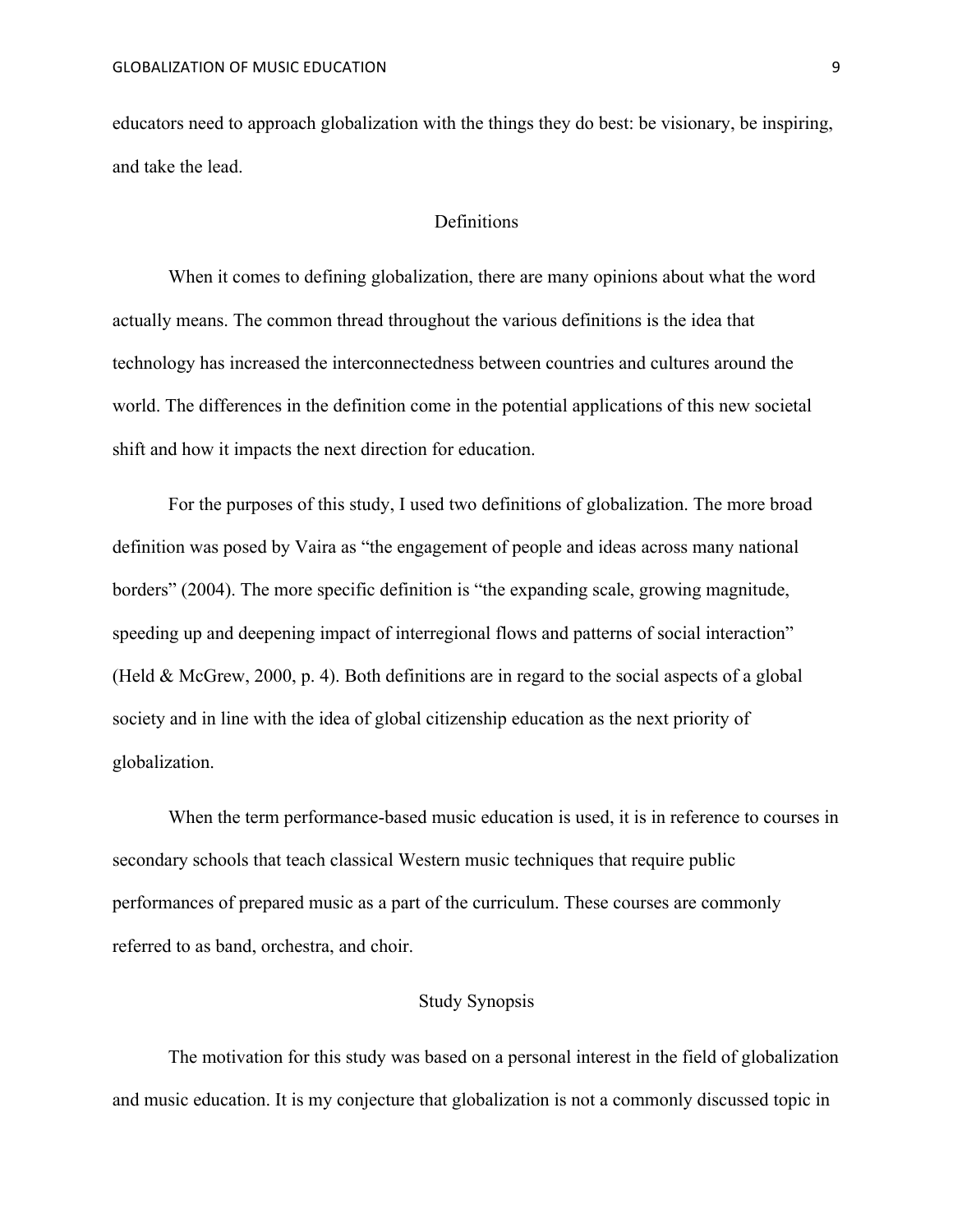educators need to approach globalization with the things they do best: be visionary, be inspiring, and take the lead.

# Definitions

When it comes to defining globalization, there are many opinions about what the word actually means. The common thread throughout the various definitions is the idea that technology has increased the interconnectedness between countries and cultures around the world. The differences in the definition come in the potential applications of this new societal shift and how it impacts the next direction for education.

For the purposes of this study, I used two definitions of globalization. The more broad definition was posed by Vaira as "the engagement of people and ideas across many national borders" (2004). The more specific definition is "the expanding scale, growing magnitude, speeding up and deepening impact of interregional flows and patterns of social interaction" (Held & McGrew, 2000, p. 4). Both definitions are in regard to the social aspects of a global society and in line with the idea of global citizenship education as the next priority of globalization.

When the term performance-based music education is used, it is in reference to courses in secondary schools that teach classical Western music techniques that require public performances of prepared music as a part of the curriculum. These courses are commonly referred to as band, orchestra, and choir.

## Study Synopsis

The motivation for this study was based on a personal interest in the field of globalization and music education. It is my conjecture that globalization is not a commonly discussed topic in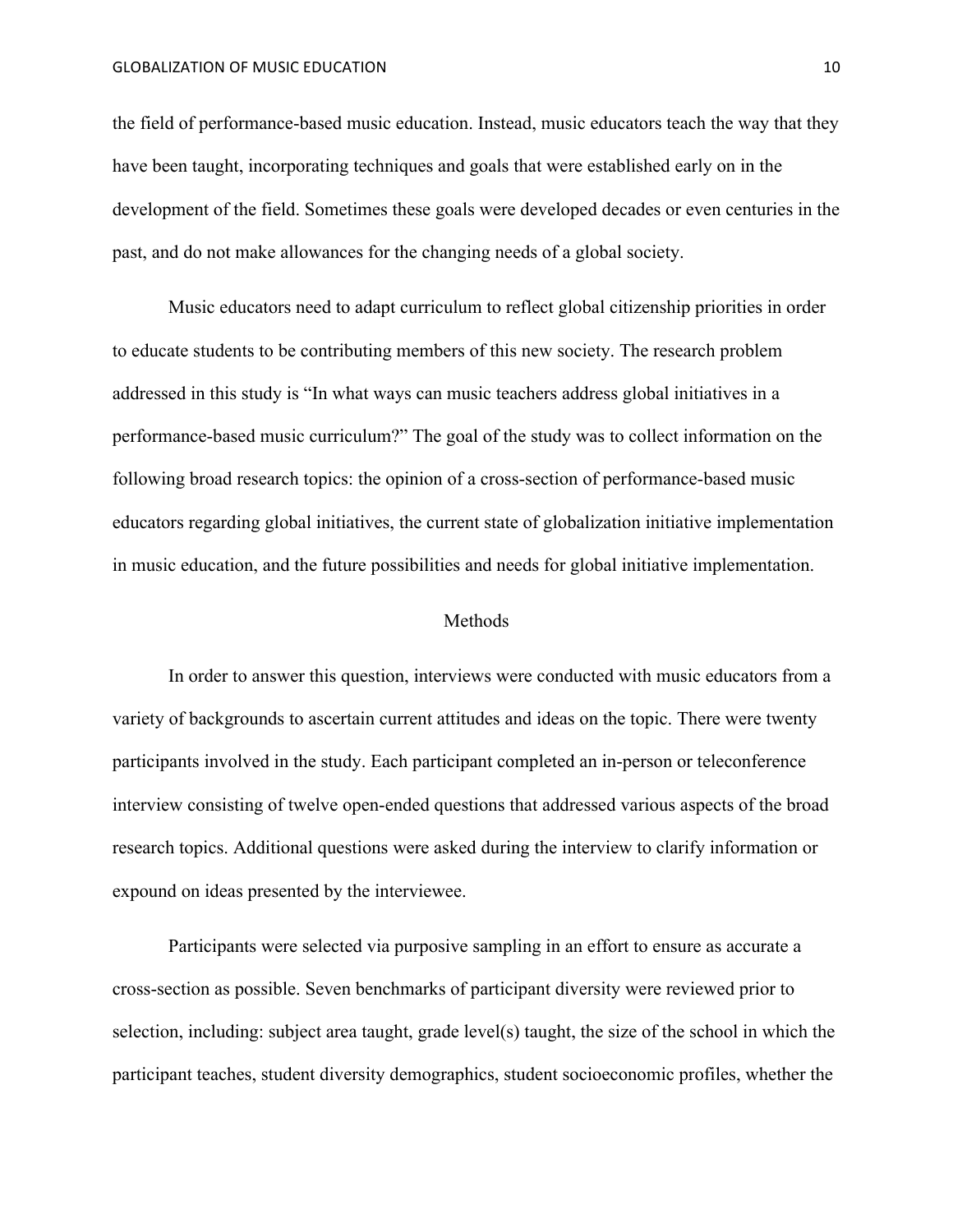#### GLOBALIZATION OF MUSIC EDUCATION **10**

the field of performance-based music education. Instead, music educators teach the way that they have been taught, incorporating techniques and goals that were established early on in the development of the field. Sometimes these goals were developed decades or even centuries in the past, and do not make allowances for the changing needs of a global society.

Music educators need to adapt curriculum to reflect global citizenship priorities in order to educate students to be contributing members of this new society. The research problem addressed in this study is "In what ways can music teachers address global initiatives in a performance-based music curriculum?" The goal of the study was to collect information on the following broad research topics: the opinion of a cross-section of performance-based music educators regarding global initiatives, the current state of globalization initiative implementation in music education, and the future possibilities and needs for global initiative implementation.

## Methods

In order to answer this question, interviews were conducted with music educators from a variety of backgrounds to ascertain current attitudes and ideas on the topic. There were twenty participants involved in the study. Each participant completed an in-person or teleconference interview consisting of twelve open-ended questions that addressed various aspects of the broad research topics. Additional questions were asked during the interview to clarify information or expound on ideas presented by the interviewee.

Participants were selected via purposive sampling in an effort to ensure as accurate a cross-section as possible. Seven benchmarks of participant diversity were reviewed prior to selection, including: subject area taught, grade level(s) taught, the size of the school in which the participant teaches, student diversity demographics, student socioeconomic profiles, whether the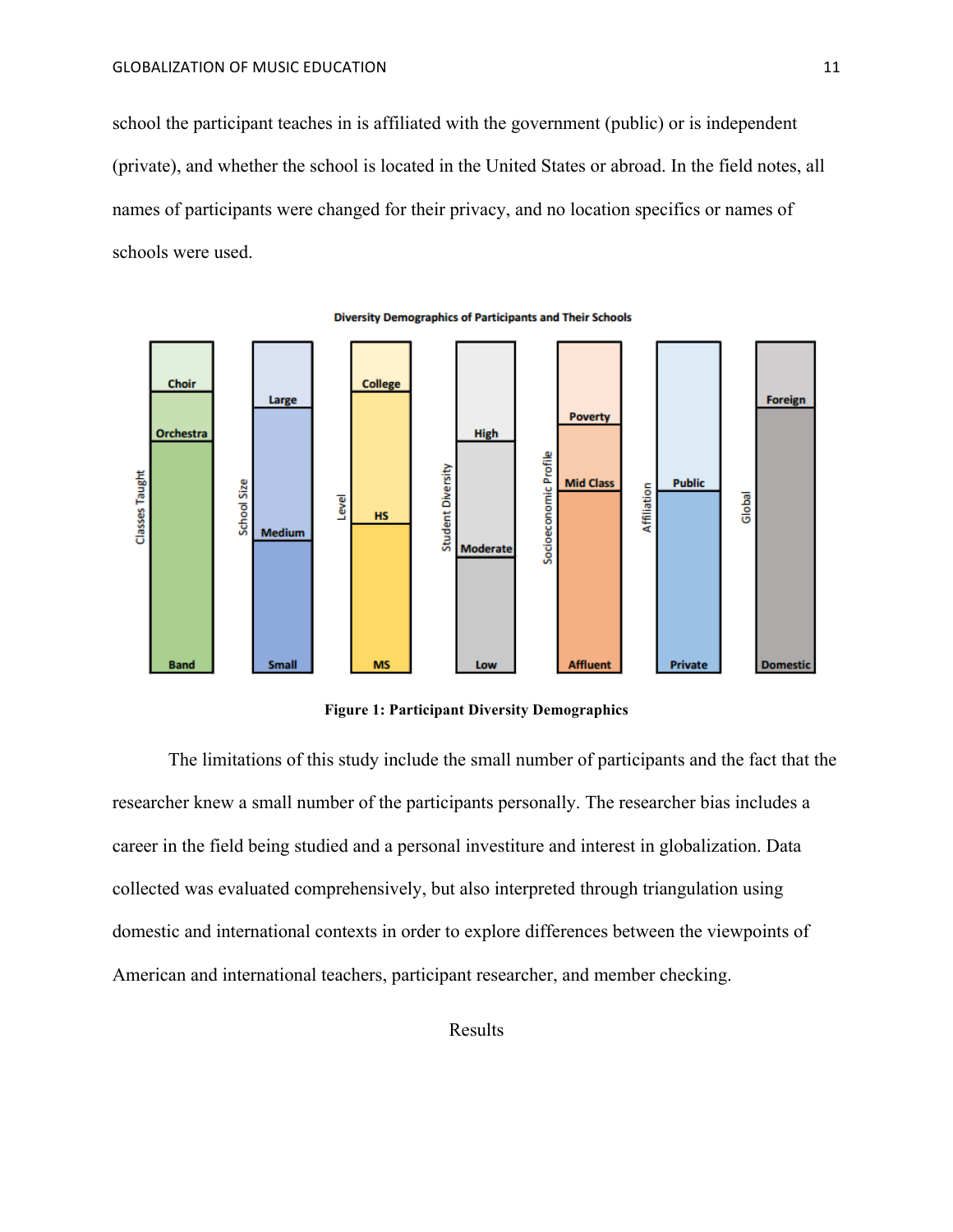school the participant teaches in is affiliated with the government (public) or is independent (private), and whether the school is located in the United States or abroad. In the field notes, all names of participants were changed for their privacy, and no location specifics or names of schools were used.



**Diversity Demographics of Participants and Their Schools** 

**Figure 1: Participant Diversity Demographics**

The limitations of this study include the small number of participants and the fact that the researcher knew a small number of the participants personally. The researcher bias includes a career in the field being studied and a personal investiture and interest in globalization. Data collected was evaluated comprehensively, but also interpreted through triangulation using domestic and international contexts in order to explore differences between the viewpoints of American and international teachers, participant researcher, and member checking.

Results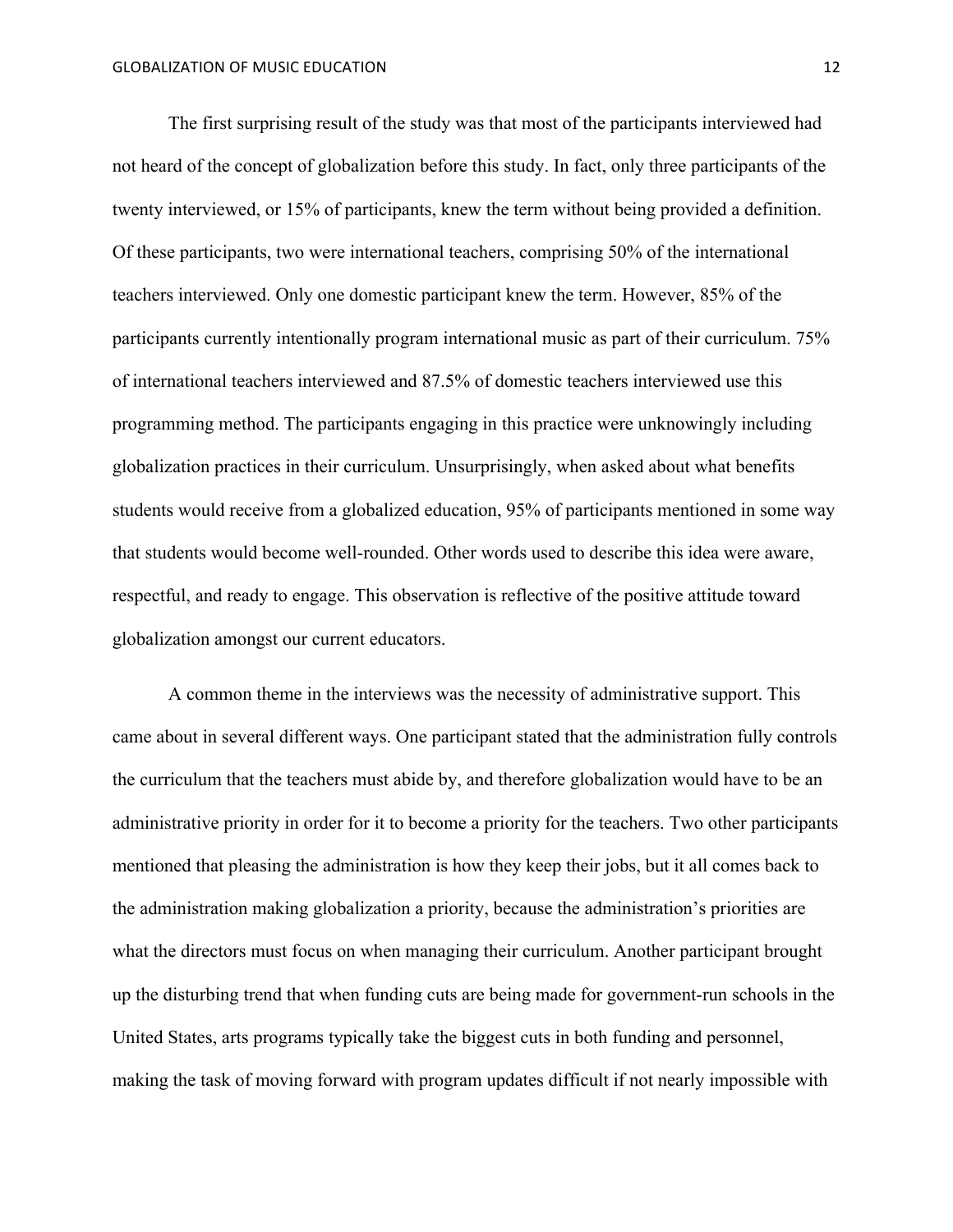The first surprising result of the study was that most of the participants interviewed had not heard of the concept of globalization before this study. In fact, only three participants of the twenty interviewed, or 15% of participants, knew the term without being provided a definition. Of these participants, two were international teachers, comprising 50% of the international teachers interviewed. Only one domestic participant knew the term. However, 85% of the participants currently intentionally program international music as part of their curriculum. 75% of international teachers interviewed and 87.5% of domestic teachers interviewed use this programming method. The participants engaging in this practice were unknowingly including globalization practices in their curriculum. Unsurprisingly, when asked about what benefits students would receive from a globalized education, 95% of participants mentioned in some way that students would become well-rounded. Other words used to describe this idea were aware, respectful, and ready to engage. This observation is reflective of the positive attitude toward globalization amongst our current educators.

A common theme in the interviews was the necessity of administrative support. This came about in several different ways. One participant stated that the administration fully controls the curriculum that the teachers must abide by, and therefore globalization would have to be an administrative priority in order for it to become a priority for the teachers. Two other participants mentioned that pleasing the administration is how they keep their jobs, but it all comes back to the administration making globalization a priority, because the administration's priorities are what the directors must focus on when managing their curriculum. Another participant brought up the disturbing trend that when funding cuts are being made for government-run schools in the United States, arts programs typically take the biggest cuts in both funding and personnel, making the task of moving forward with program updates difficult if not nearly impossible with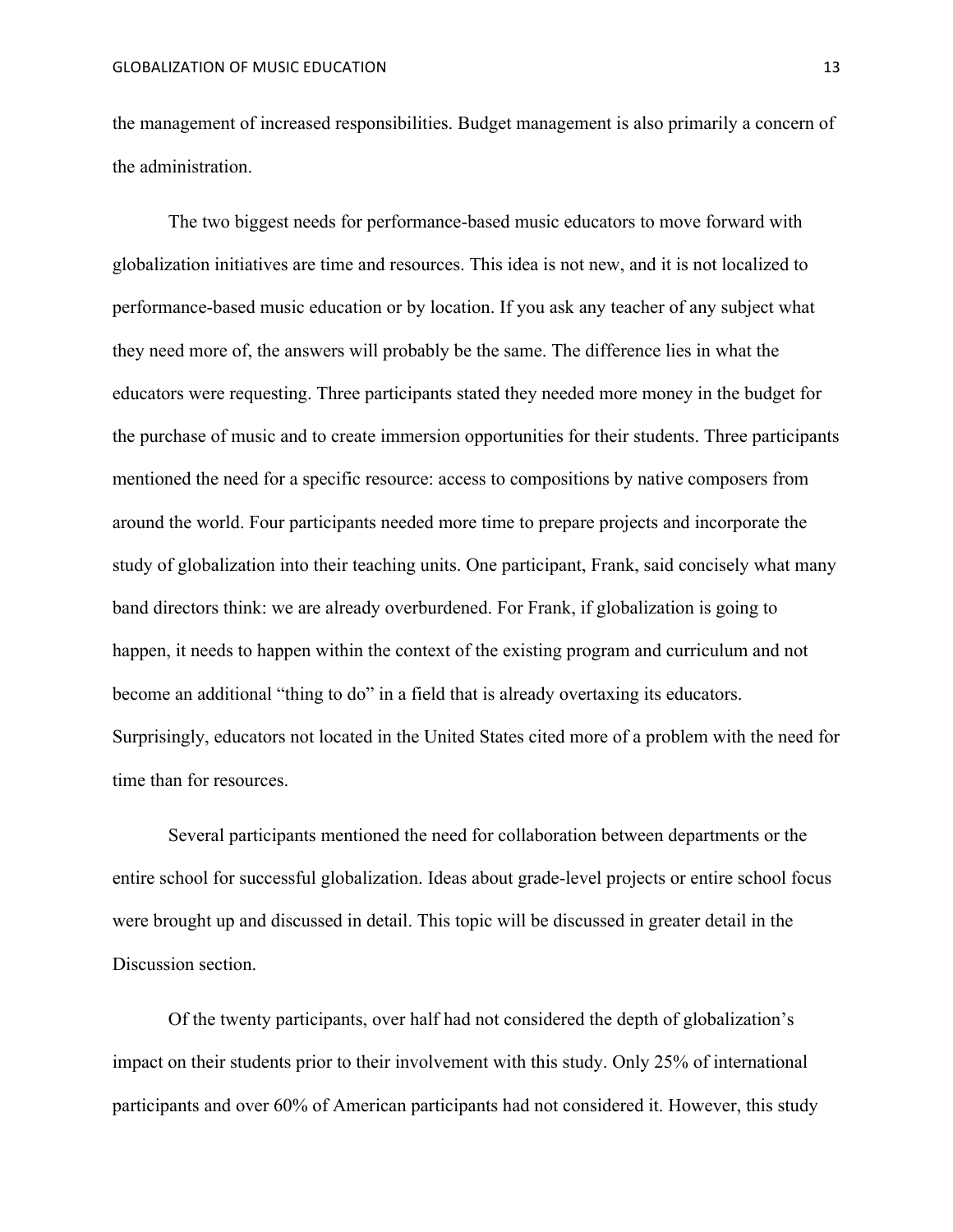the management of increased responsibilities. Budget management is also primarily a concern of the administration.

The two biggest needs for performance-based music educators to move forward with globalization initiatives are time and resources. This idea is not new, and it is not localized to performance-based music education or by location. If you ask any teacher of any subject what they need more of, the answers will probably be the same. The difference lies in what the educators were requesting. Three participants stated they needed more money in the budget for the purchase of music and to create immersion opportunities for their students. Three participants mentioned the need for a specific resource: access to compositions by native composers from around the world. Four participants needed more time to prepare projects and incorporate the study of globalization into their teaching units. One participant, Frank, said concisely what many band directors think: we are already overburdened. For Frank, if globalization is going to happen, it needs to happen within the context of the existing program and curriculum and not become an additional "thing to do" in a field that is already overtaxing its educators. Surprisingly, educators not located in the United States cited more of a problem with the need for time than for resources.

Several participants mentioned the need for collaboration between departments or the entire school for successful globalization. Ideas about grade-level projects or entire school focus were brought up and discussed in detail. This topic will be discussed in greater detail in the Discussion section.

Of the twenty participants, over half had not considered the depth of globalization's impact on their students prior to their involvement with this study. Only 25% of international participants and over 60% of American participants had not considered it. However, this study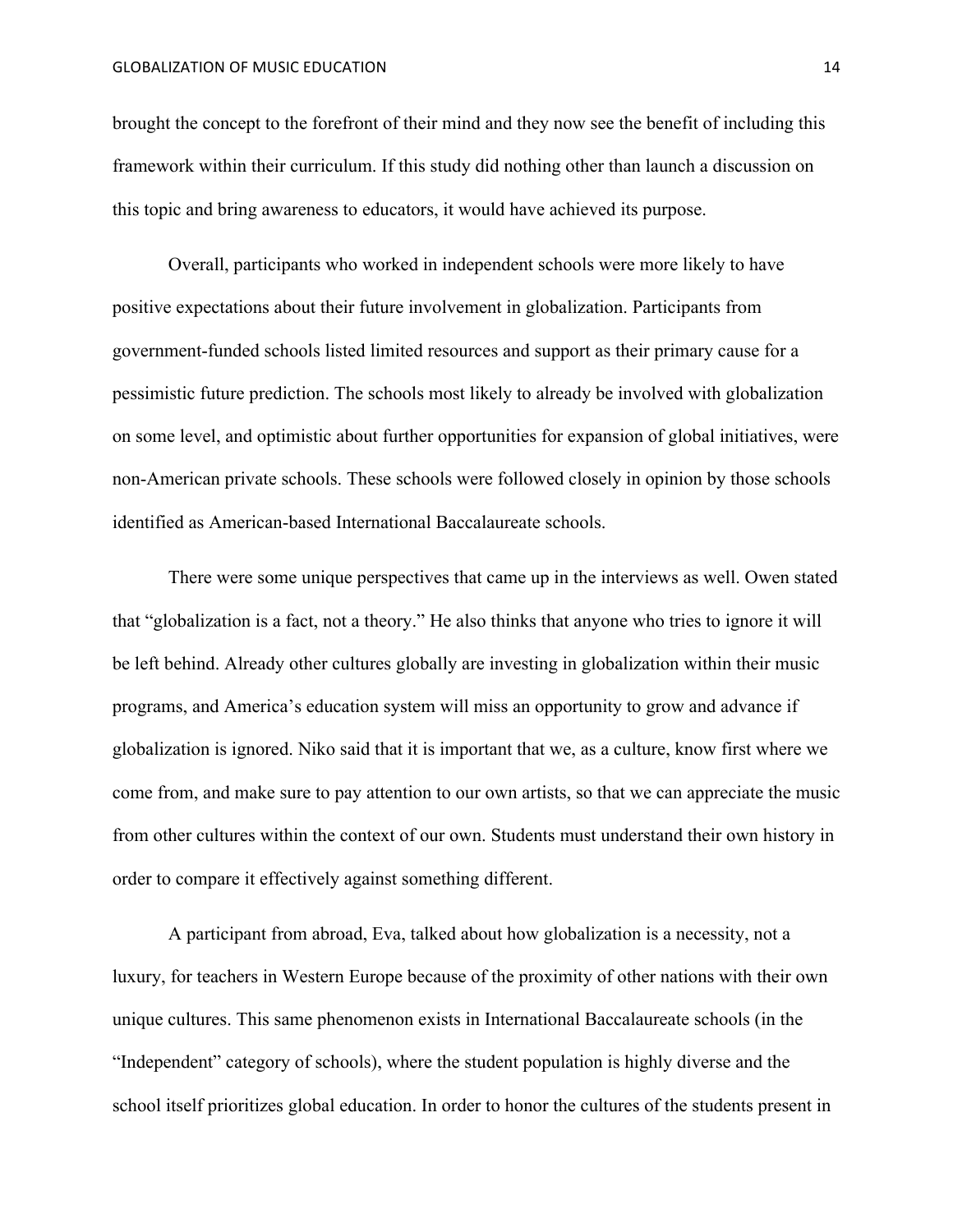brought the concept to the forefront of their mind and they now see the benefit of including this framework within their curriculum. If this study did nothing other than launch a discussion on this topic and bring awareness to educators, it would have achieved its purpose.

Overall, participants who worked in independent schools were more likely to have positive expectations about their future involvement in globalization. Participants from government-funded schools listed limited resources and support as their primary cause for a pessimistic future prediction. The schools most likely to already be involved with globalization on some level, and optimistic about further opportunities for expansion of global initiatives, were non-American private schools. These schools were followed closely in opinion by those schools identified as American-based International Baccalaureate schools.

There were some unique perspectives that came up in the interviews as well. Owen stated that "globalization is a fact, not a theory." He also thinks that anyone who tries to ignore it will be left behind. Already other cultures globally are investing in globalization within their music programs, and America's education system will miss an opportunity to grow and advance if globalization is ignored. Niko said that it is important that we, as a culture, know first where we come from, and make sure to pay attention to our own artists, so that we can appreciate the music from other cultures within the context of our own. Students must understand their own history in order to compare it effectively against something different.

A participant from abroad, Eva, talked about how globalization is a necessity, not a luxury, for teachers in Western Europe because of the proximity of other nations with their own unique cultures. This same phenomenon exists in International Baccalaureate schools (in the "Independent" category of schools), where the student population is highly diverse and the school itself prioritizes global education. In order to honor the cultures of the students present in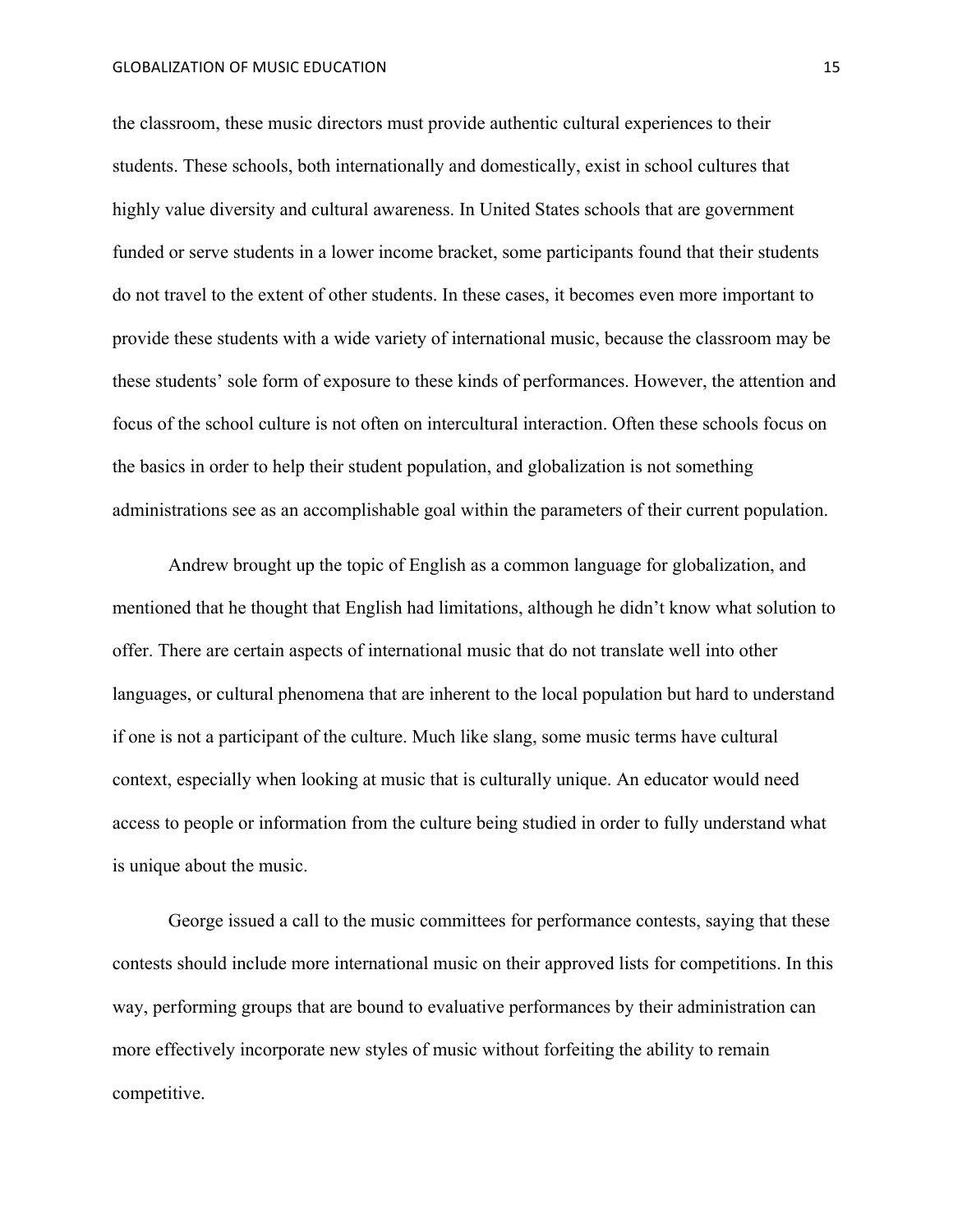### GLOBALIZATION OF MUSIC EDUCATION **15**

the classroom, these music directors must provide authentic cultural experiences to their students. These schools, both internationally and domestically, exist in school cultures that highly value diversity and cultural awareness. In United States schools that are government funded or serve students in a lower income bracket, some participants found that their students do not travel to the extent of other students. In these cases, it becomes even more important to provide these students with a wide variety of international music, because the classroom may be these students' sole form of exposure to these kinds of performances. However, the attention and focus of the school culture is not often on intercultural interaction. Often these schools focus on the basics in order to help their student population, and globalization is not something administrations see as an accomplishable goal within the parameters of their current population.

Andrew brought up the topic of English as a common language for globalization, and mentioned that he thought that English had limitations, although he didn't know what solution to offer. There are certain aspects of international music that do not translate well into other languages, or cultural phenomena that are inherent to the local population but hard to understand if one is not a participant of the culture. Much like slang, some music terms have cultural context, especially when looking at music that is culturally unique. An educator would need access to people or information from the culture being studied in order to fully understand what is unique about the music.

George issued a call to the music committees for performance contests, saying that these contests should include more international music on their approved lists for competitions. In this way, performing groups that are bound to evaluative performances by their administration can more effectively incorporate new styles of music without forfeiting the ability to remain competitive.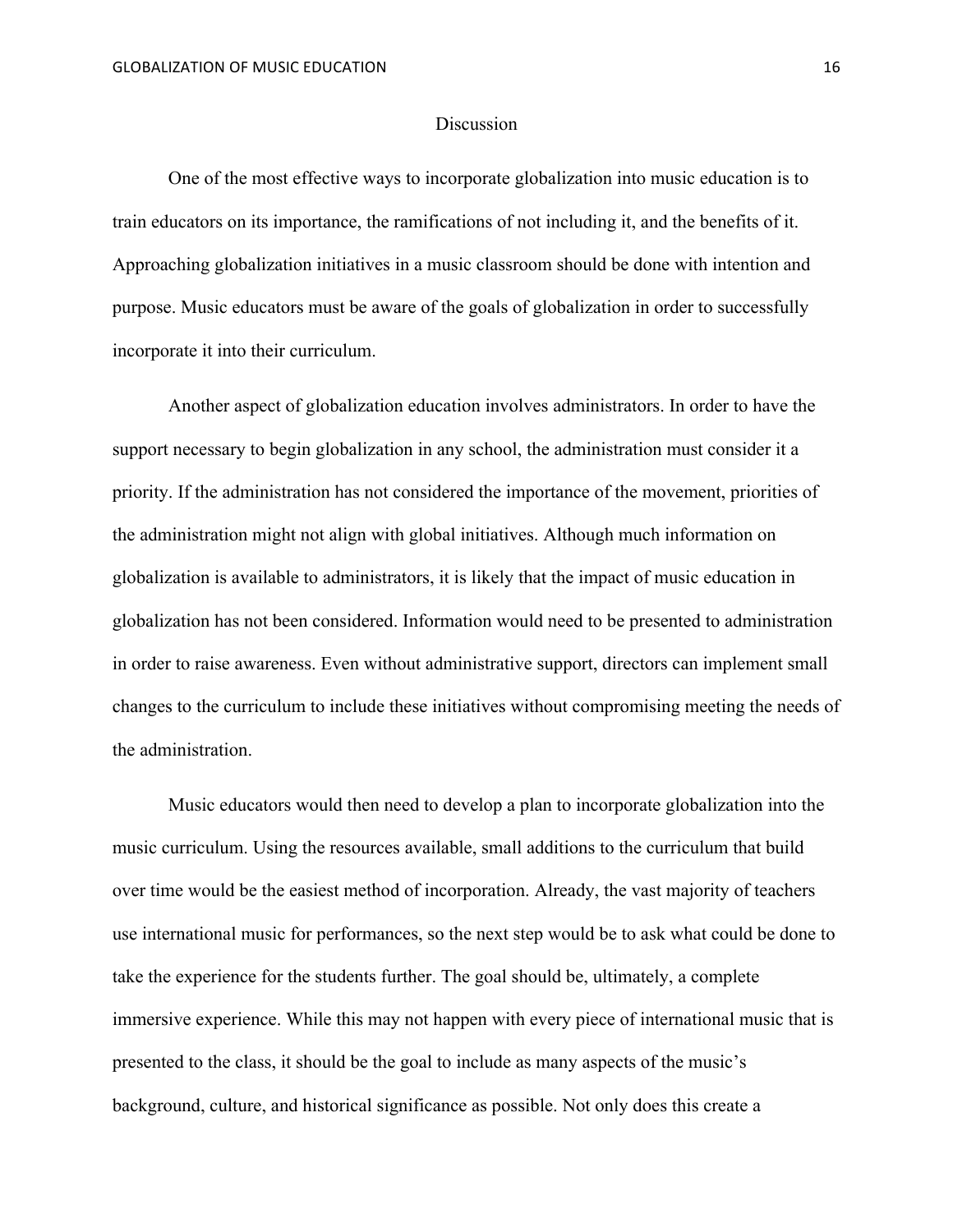### **Discussion**

One of the most effective ways to incorporate globalization into music education is to train educators on its importance, the ramifications of not including it, and the benefits of it. Approaching globalization initiatives in a music classroom should be done with intention and purpose. Music educators must be aware of the goals of globalization in order to successfully incorporate it into their curriculum.

Another aspect of globalization education involves administrators. In order to have the support necessary to begin globalization in any school, the administration must consider it a priority. If the administration has not considered the importance of the movement, priorities of the administration might not align with global initiatives. Although much information on globalization is available to administrators, it is likely that the impact of music education in globalization has not been considered. Information would need to be presented to administration in order to raise awareness. Even without administrative support, directors can implement small changes to the curriculum to include these initiatives without compromising meeting the needs of the administration.

Music educators would then need to develop a plan to incorporate globalization into the music curriculum. Using the resources available, small additions to the curriculum that build over time would be the easiest method of incorporation. Already, the vast majority of teachers use international music for performances, so the next step would be to ask what could be done to take the experience for the students further. The goal should be, ultimately, a complete immersive experience. While this may not happen with every piece of international music that is presented to the class, it should be the goal to include as many aspects of the music's background, culture, and historical significance as possible. Not only does this create a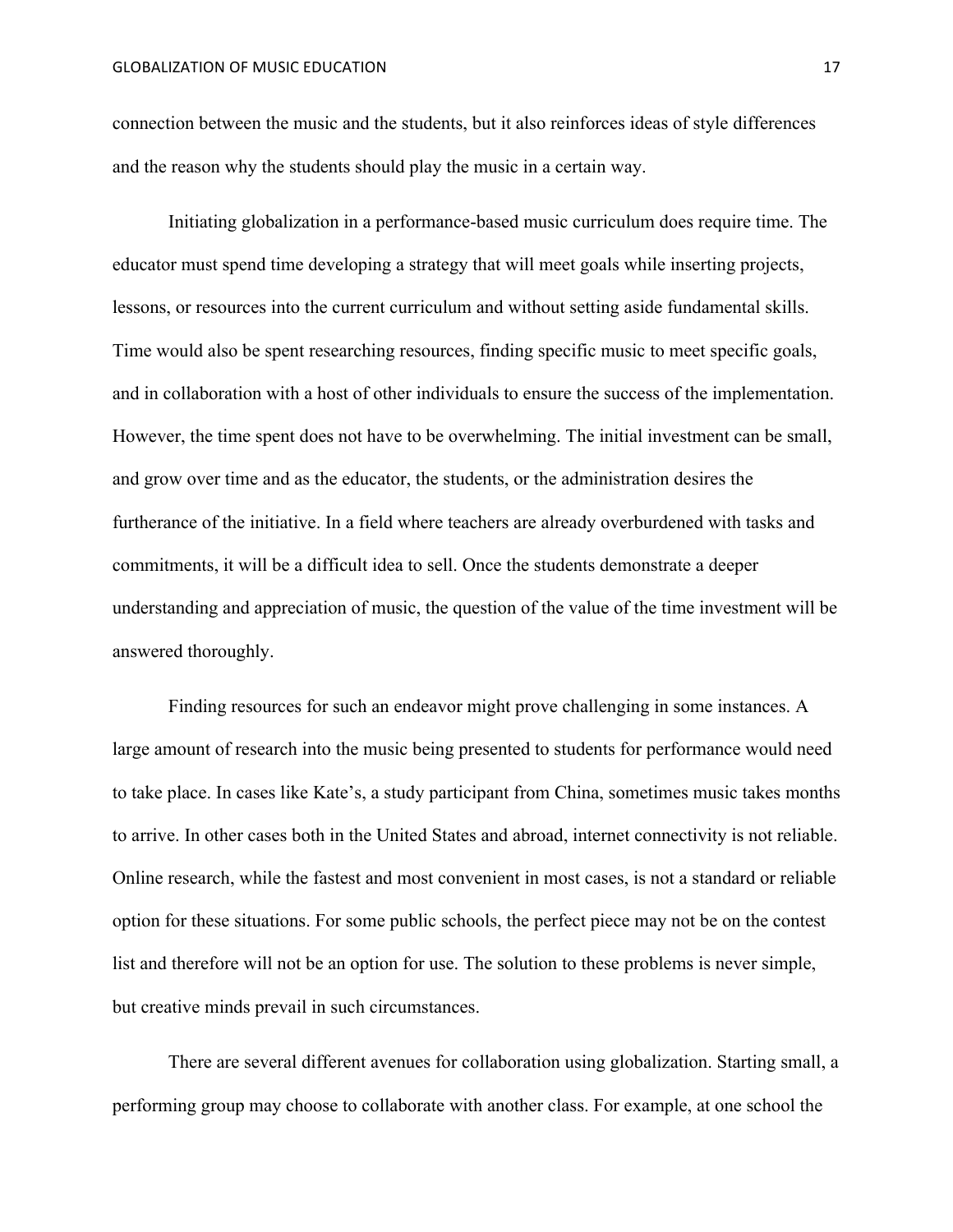connection between the music and the students, but it also reinforces ideas of style differences and the reason why the students should play the music in a certain way.

Initiating globalization in a performance-based music curriculum does require time. The educator must spend time developing a strategy that will meet goals while inserting projects, lessons, or resources into the current curriculum and without setting aside fundamental skills. Time would also be spent researching resources, finding specific music to meet specific goals, and in collaboration with a host of other individuals to ensure the success of the implementation. However, the time spent does not have to be overwhelming. The initial investment can be small, and grow over time and as the educator, the students, or the administration desires the furtherance of the initiative. In a field where teachers are already overburdened with tasks and commitments, it will be a difficult idea to sell. Once the students demonstrate a deeper understanding and appreciation of music, the question of the value of the time investment will be answered thoroughly.

Finding resources for such an endeavor might prove challenging in some instances. A large amount of research into the music being presented to students for performance would need to take place. In cases like Kate's, a study participant from China, sometimes music takes months to arrive. In other cases both in the United States and abroad, internet connectivity is not reliable. Online research, while the fastest and most convenient in most cases, is not a standard or reliable option for these situations. For some public schools, the perfect piece may not be on the contest list and therefore will not be an option for use. The solution to these problems is never simple, but creative minds prevail in such circumstances.

There are several different avenues for collaboration using globalization. Starting small, a performing group may choose to collaborate with another class. For example, at one school the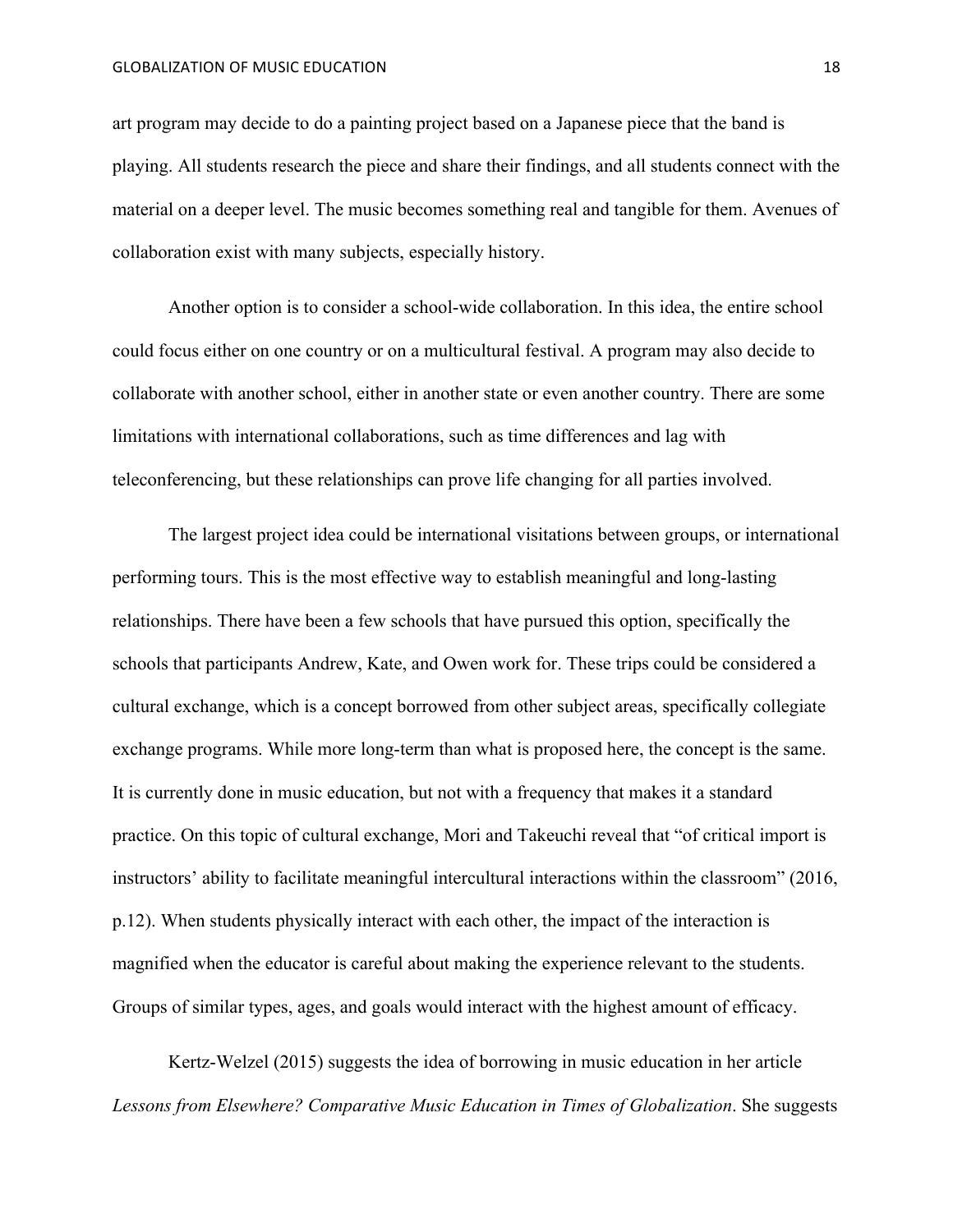art program may decide to do a painting project based on a Japanese piece that the band is playing. All students research the piece and share their findings, and all students connect with the material on a deeper level. The music becomes something real and tangible for them. Avenues of collaboration exist with many subjects, especially history.

Another option is to consider a school-wide collaboration. In this idea, the entire school could focus either on one country or on a multicultural festival. A program may also decide to collaborate with another school, either in another state or even another country. There are some limitations with international collaborations, such as time differences and lag with teleconferencing, but these relationships can prove life changing for all parties involved.

The largest project idea could be international visitations between groups, or international performing tours. This is the most effective way to establish meaningful and long-lasting relationships. There have been a few schools that have pursued this option, specifically the schools that participants Andrew, Kate, and Owen work for. These trips could be considered a cultural exchange, which is a concept borrowed from other subject areas, specifically collegiate exchange programs. While more long-term than what is proposed here, the concept is the same. It is currently done in music education, but not with a frequency that makes it a standard practice. On this topic of cultural exchange, Mori and Takeuchi reveal that "of critical import is instructors' ability to facilitate meaningful intercultural interactions within the classroom" (2016, p.12). When students physically interact with each other, the impact of the interaction is magnified when the educator is careful about making the experience relevant to the students. Groups of similar types, ages, and goals would interact with the highest amount of efficacy.

Kertz-Welzel (2015) suggests the idea of borrowing in music education in her article *Lessons from Elsewhere? Comparative Music Education in Times of Globalization*. She suggests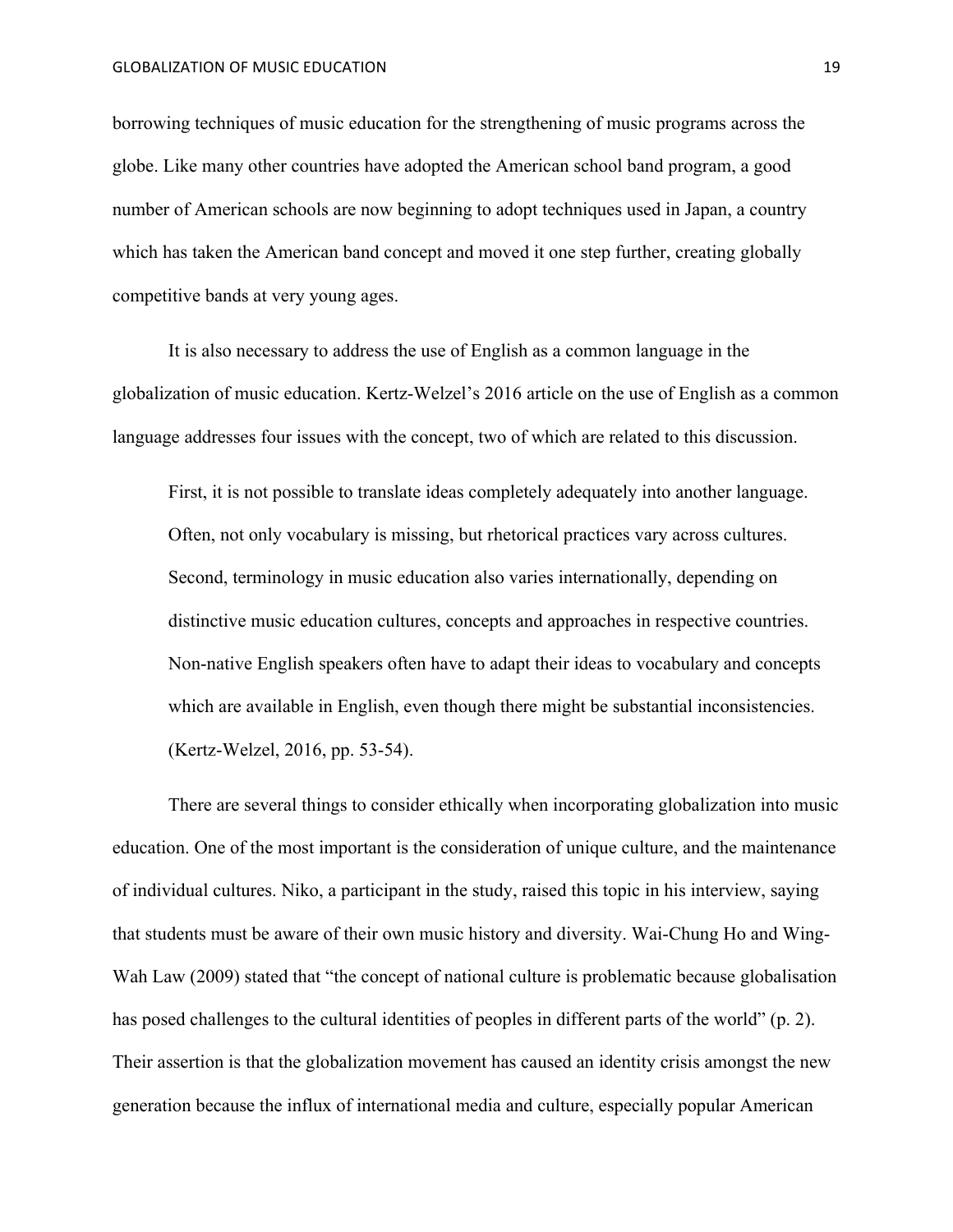borrowing techniques of music education for the strengthening of music programs across the globe. Like many other countries have adopted the American school band program, a good number of American schools are now beginning to adopt techniques used in Japan, a country which has taken the American band concept and moved it one step further, creating globally competitive bands at very young ages.

It is also necessary to address the use of English as a common language in the globalization of music education. Kertz-Welzel's 2016 article on the use of English as a common language addresses four issues with the concept, two of which are related to this discussion.

First, it is not possible to translate ideas completely adequately into another language. Often, not only vocabulary is missing, but rhetorical practices vary across cultures. Second, terminology in music education also varies internationally, depending on distinctive music education cultures, concepts and approaches in respective countries. Non-native English speakers often have to adapt their ideas to vocabulary and concepts which are available in English, even though there might be substantial inconsistencies. (Kertz-Welzel, 2016, pp. 53-54).

There are several things to consider ethically when incorporating globalization into music education. One of the most important is the consideration of unique culture, and the maintenance of individual cultures. Niko, a participant in the study, raised this topic in his interview, saying that students must be aware of their own music history and diversity. Wai-Chung Ho and Wing-Wah Law (2009) stated that "the concept of national culture is problematic because globalisation has posed challenges to the cultural identities of peoples in different parts of the world" (p. 2). Their assertion is that the globalization movement has caused an identity crisis amongst the new generation because the influx of international media and culture, especially popular American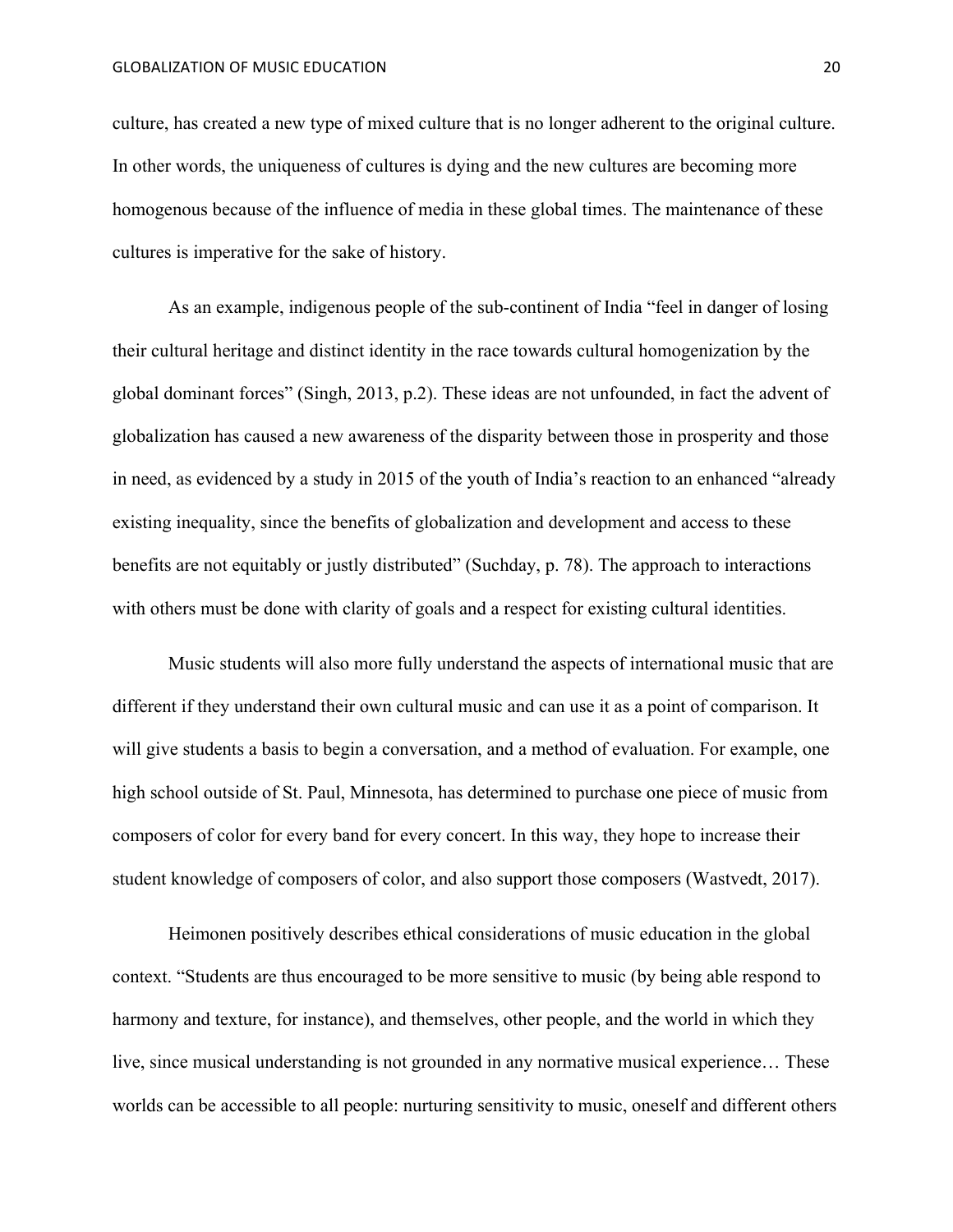culture, has created a new type of mixed culture that is no longer adherent to the original culture. In other words, the uniqueness of cultures is dying and the new cultures are becoming more homogenous because of the influence of media in these global times. The maintenance of these cultures is imperative for the sake of history.

As an example, indigenous people of the sub-continent of India "feel in danger of losing their cultural heritage and distinct identity in the race towards cultural homogenization by the global dominant forces" (Singh, 2013, p.2). These ideas are not unfounded, in fact the advent of globalization has caused a new awareness of the disparity between those in prosperity and those in need, as evidenced by a study in 2015 of the youth of India's reaction to an enhanced "already existing inequality, since the benefits of globalization and development and access to these benefits are not equitably or justly distributed" (Suchday, p. 78). The approach to interactions with others must be done with clarity of goals and a respect for existing cultural identities.

Music students will also more fully understand the aspects of international music that are different if they understand their own cultural music and can use it as a point of comparison. It will give students a basis to begin a conversation, and a method of evaluation. For example, one high school outside of St. Paul, Minnesota, has determined to purchase one piece of music from composers of color for every band for every concert. In this way, they hope to increase their student knowledge of composers of color, and also support those composers (Wastvedt, 2017).

Heimonen positively describes ethical considerations of music education in the global context. "Students are thus encouraged to be more sensitive to music (by being able respond to harmony and texture, for instance), and themselves, other people, and the world in which they live, since musical understanding is not grounded in any normative musical experience… These worlds can be accessible to all people: nurturing sensitivity to music, oneself and different others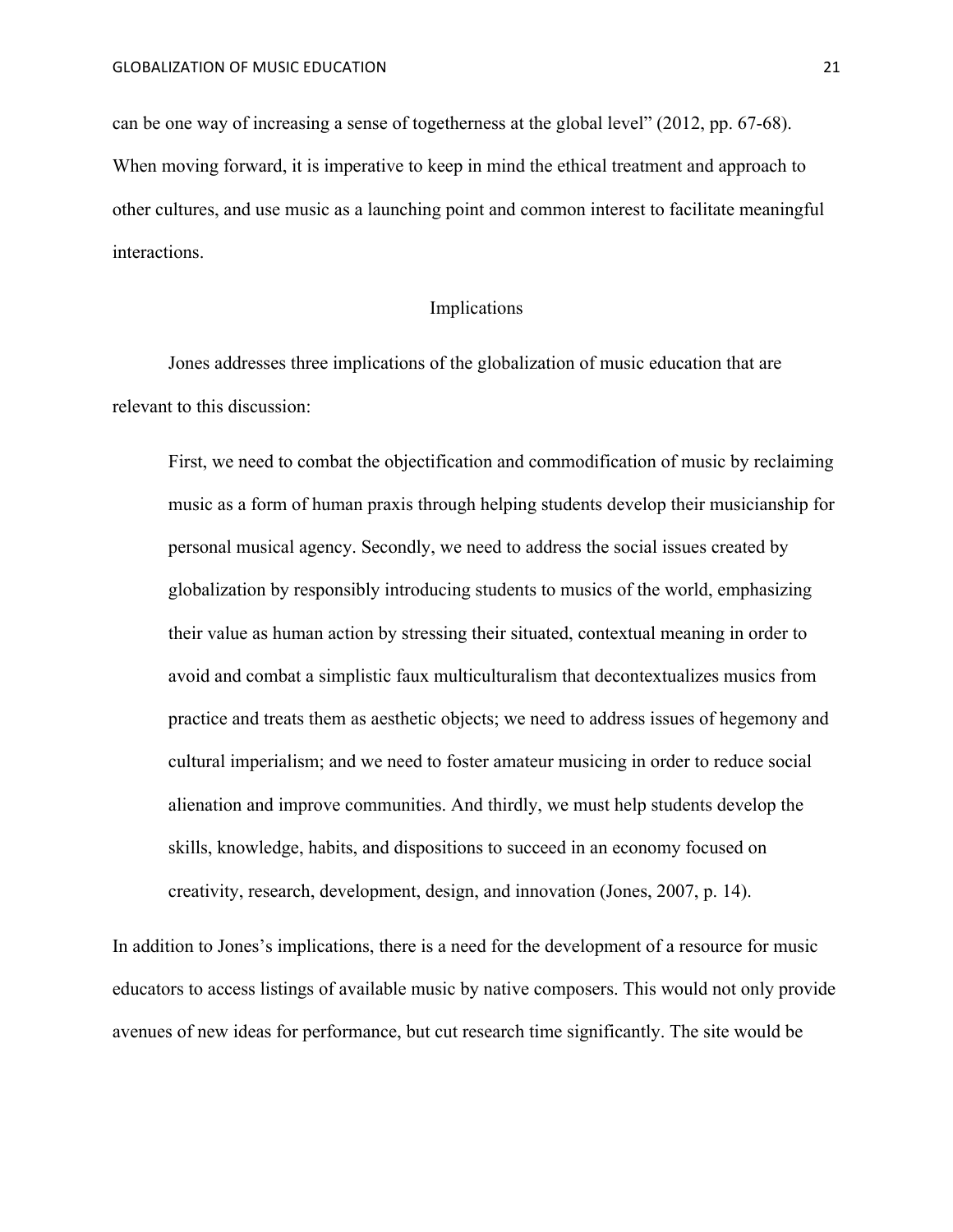can be one way of increasing a sense of togetherness at the global level" (2012, pp. 67-68). When moving forward, it is imperative to keep in mind the ethical treatment and approach to other cultures, and use music as a launching point and common interest to facilitate meaningful interactions.

## Implications

Jones addresses three implications of the globalization of music education that are relevant to this discussion:

First, we need to combat the objectification and commodification of music by reclaiming music as a form of human praxis through helping students develop their musicianship for personal musical agency. Secondly, we need to address the social issues created by globalization by responsibly introducing students to musics of the world, emphasizing their value as human action by stressing their situated, contextual meaning in order to avoid and combat a simplistic faux multiculturalism that decontextualizes musics from practice and treats them as aesthetic objects; we need to address issues of hegemony and cultural imperialism; and we need to foster amateur musicing in order to reduce social alienation and improve communities. And thirdly, we must help students develop the skills, knowledge, habits, and dispositions to succeed in an economy focused on creativity, research, development, design, and innovation (Jones, 2007, p. 14).

In addition to Jones's implications, there is a need for the development of a resource for music educators to access listings of available music by native composers. This would not only provide avenues of new ideas for performance, but cut research time significantly. The site would be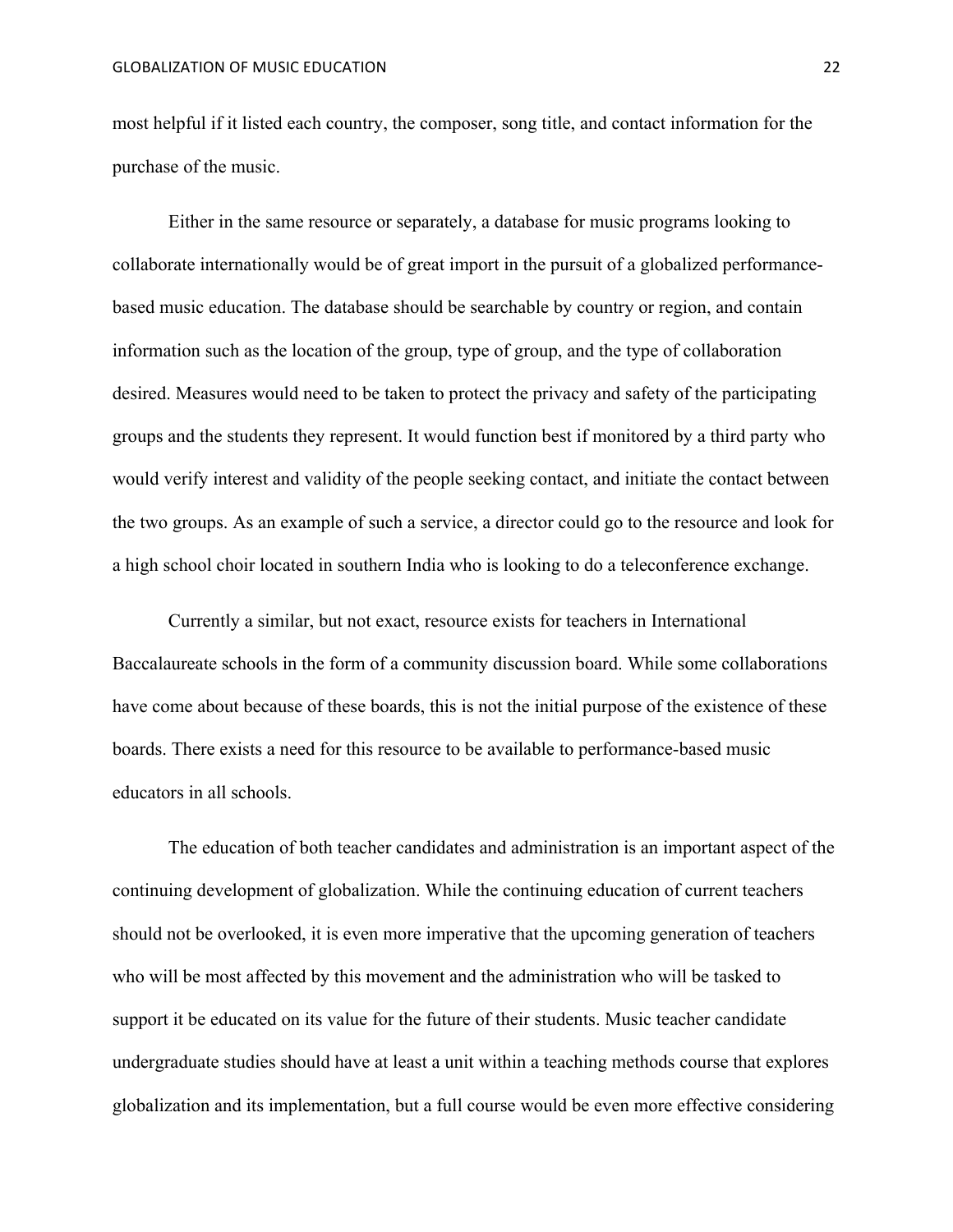most helpful if it listed each country, the composer, song title, and contact information for the purchase of the music.

Either in the same resource or separately, a database for music programs looking to collaborate internationally would be of great import in the pursuit of a globalized performancebased music education. The database should be searchable by country or region, and contain information such as the location of the group, type of group, and the type of collaboration desired. Measures would need to be taken to protect the privacy and safety of the participating groups and the students they represent. It would function best if monitored by a third party who would verify interest and validity of the people seeking contact, and initiate the contact between the two groups. As an example of such a service, a director could go to the resource and look for a high school choir located in southern India who is looking to do a teleconference exchange.

Currently a similar, but not exact, resource exists for teachers in International Baccalaureate schools in the form of a community discussion board. While some collaborations have come about because of these boards, this is not the initial purpose of the existence of these boards. There exists a need for this resource to be available to performance-based music educators in all schools.

The education of both teacher candidates and administration is an important aspect of the continuing development of globalization. While the continuing education of current teachers should not be overlooked, it is even more imperative that the upcoming generation of teachers who will be most affected by this movement and the administration who will be tasked to support it be educated on its value for the future of their students. Music teacher candidate undergraduate studies should have at least a unit within a teaching methods course that explores globalization and its implementation, but a full course would be even more effective considering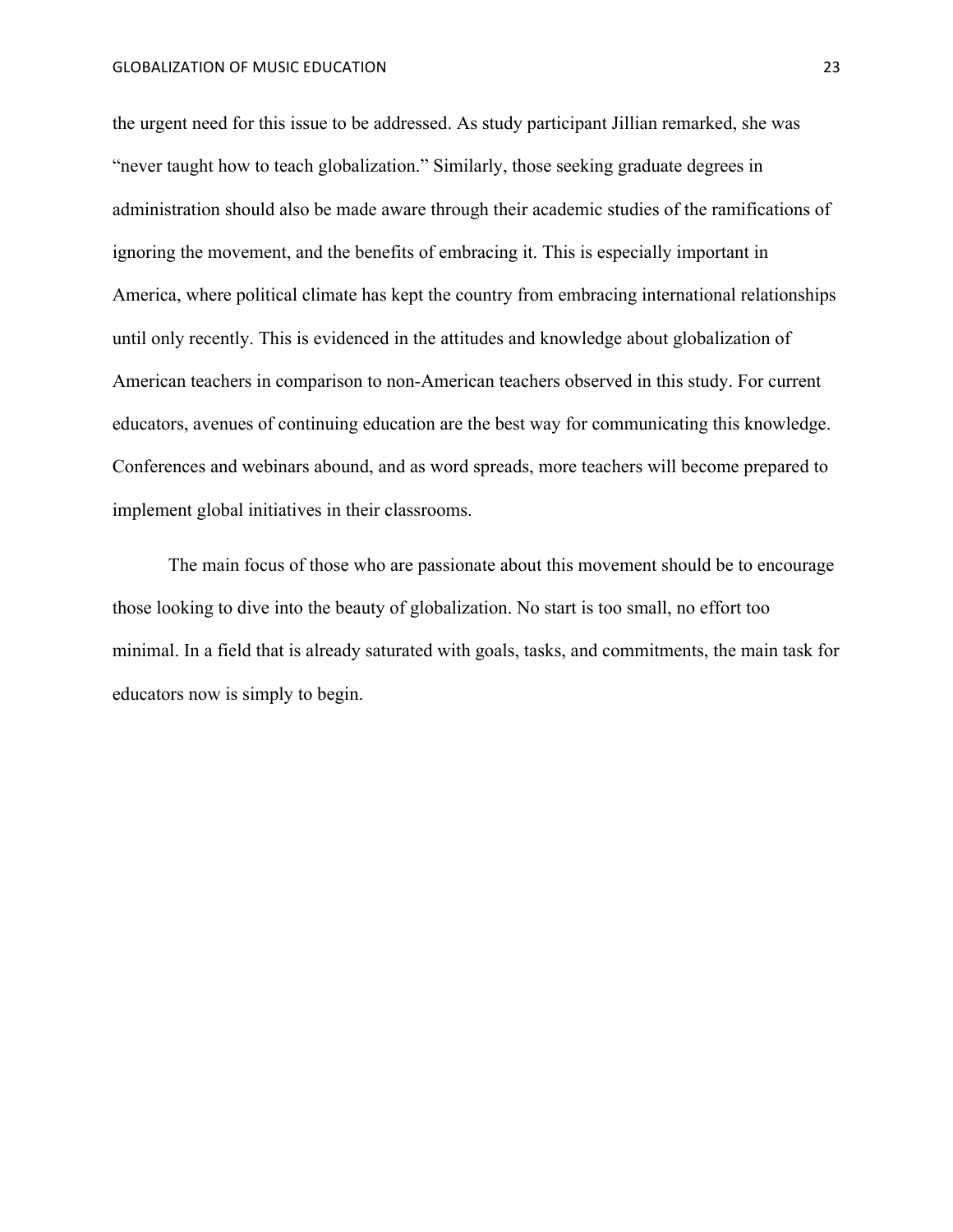the urgent need for this issue to be addressed. As study participant Jillian remarked, she was "never taught how to teach globalization." Similarly, those seeking graduate degrees in administration should also be made aware through their academic studies of the ramifications of ignoring the movement, and the benefits of embracing it. This is especially important in America, where political climate has kept the country from embracing international relationships until only recently. This is evidenced in the attitudes and knowledge about globalization of American teachers in comparison to non-American teachers observed in this study. For current educators, avenues of continuing education are the best way for communicating this knowledge. Conferences and webinars abound, and as word spreads, more teachers will become prepared to implement global initiatives in their classrooms.

The main focus of those who are passionate about this movement should be to encourage those looking to dive into the beauty of globalization. No start is too small, no effort too minimal. In a field that is already saturated with goals, tasks, and commitments, the main task for educators now is simply to begin.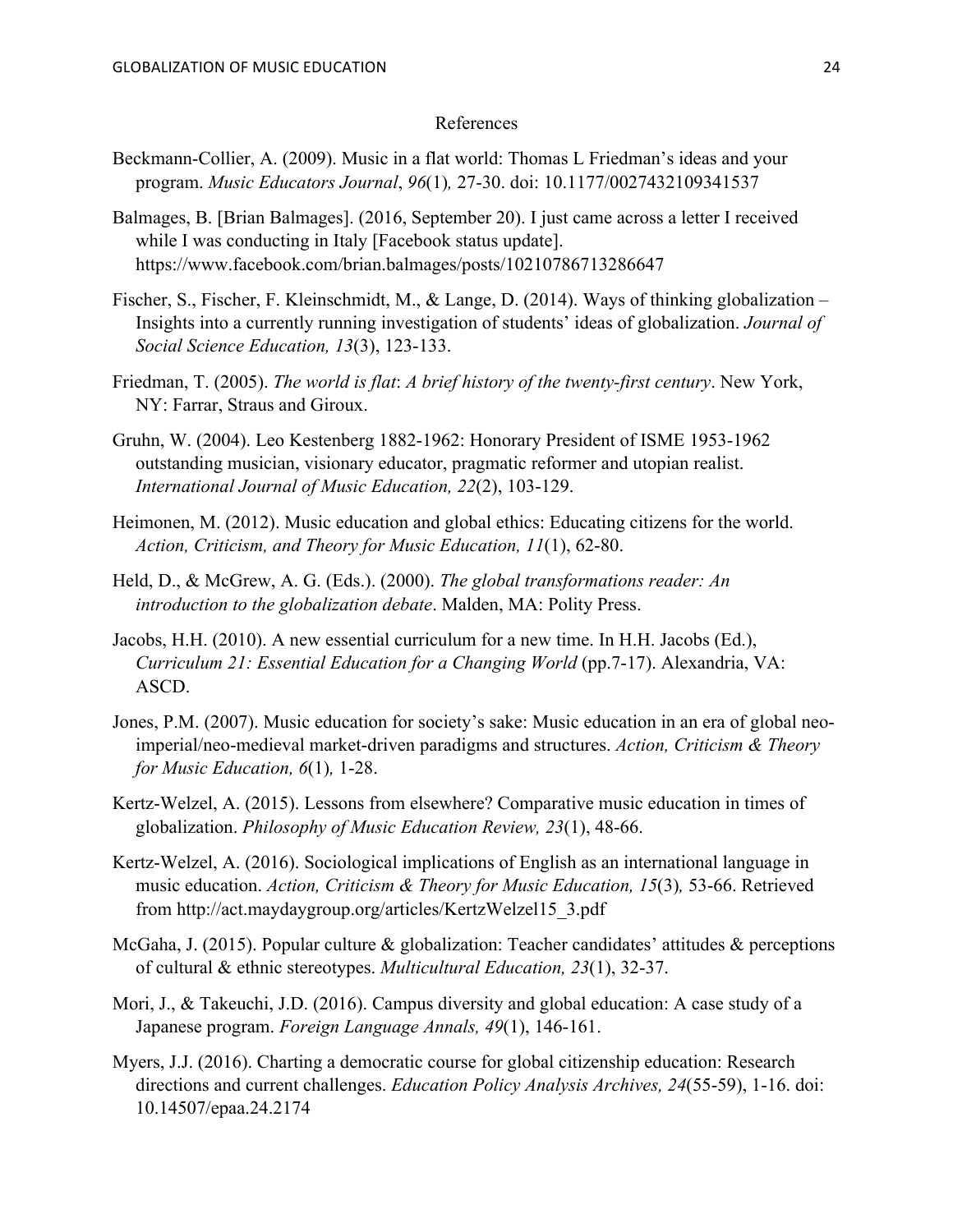### References

- Beckmann-Collier, A. (2009). Music in a flat world: Thomas L Friedman's ideas and your program. *Music Educators Journal*, *96*(1)*,* 27-30. doi: 10.1177/0027432109341537
- Balmages, B. [Brian Balmages]. (2016, September 20). I just came across a letter I received while I was conducting in Italy [Facebook status update]. https://www.facebook.com/brian.balmages/posts/10210786713286647
- Fischer, S., Fischer, F. Kleinschmidt, M., & Lange, D. (2014). Ways of thinking globalization Insights into a currently running investigation of students' ideas of globalization. *Journal of Social Science Education, 13*(3), 123-133.
- Friedman, T. (2005). *The world is flat*: *A brief history of the twenty-first century*. New York, NY: Farrar, Straus and Giroux.
- Gruhn, W. (2004). Leo Kestenberg 1882-1962: Honorary President of ISME 1953-1962 outstanding musician, visionary educator, pragmatic reformer and utopian realist. *International Journal of Music Education, 22*(2), 103-129.
- Heimonen, M. (2012). Music education and global ethics: Educating citizens for the world. *Action, Criticism, and Theory for Music Education, 11*(1), 62-80.
- Held, D., & McGrew, A. G. (Eds.). (2000). *The global transformations reader: An introduction to the globalization debate*. Malden, MA: Polity Press.
- Jacobs, H.H. (2010). A new essential curriculum for a new time. In H.H. Jacobs (Ed.), *Curriculum 21: Essential Education for a Changing World* (pp.7-17). Alexandria, VA: ASCD.
- Jones, P.M. (2007). Music education for society's sake: Music education in an era of global neo imperial/neo-medieval market-driven paradigms and structures. *Action, Criticism & Theory for Music Education, 6*(1)*,* 1-28.
- Kertz-Welzel, A. (2015). Lessons from elsewhere? Comparative music education in times of globalization. *Philosophy of Music Education Review, 23*(1), 48-66.
- Kertz-Welzel, A. (2016). Sociological implications of English as an international language in music education. *Action, Criticism & Theory for Music Education, 15*(3)*,* 53-66. Retrieved from http://act.maydaygroup.org/articles/KertzWelzel15\_3.pdf
- McGaha, J. (2015). Popular culture  $\&$  globalization: Teacher candidates' attitudes  $\&$  perceptions of cultural & ethnic stereotypes. *Multicultural Education, 23*(1), 32-37.
- Mori, J., & Takeuchi, J.D. (2016). Campus diversity and global education: A case study of a Japanese program. *Foreign Language Annals, 49*(1), 146-161.
- Myers, J.J. (2016). Charting a democratic course for global citizenship education: Research directions and current challenges. *Education Policy Analysis Archives, 24*(55-59), 1-16. doi: 10.14507/epaa.24.2174